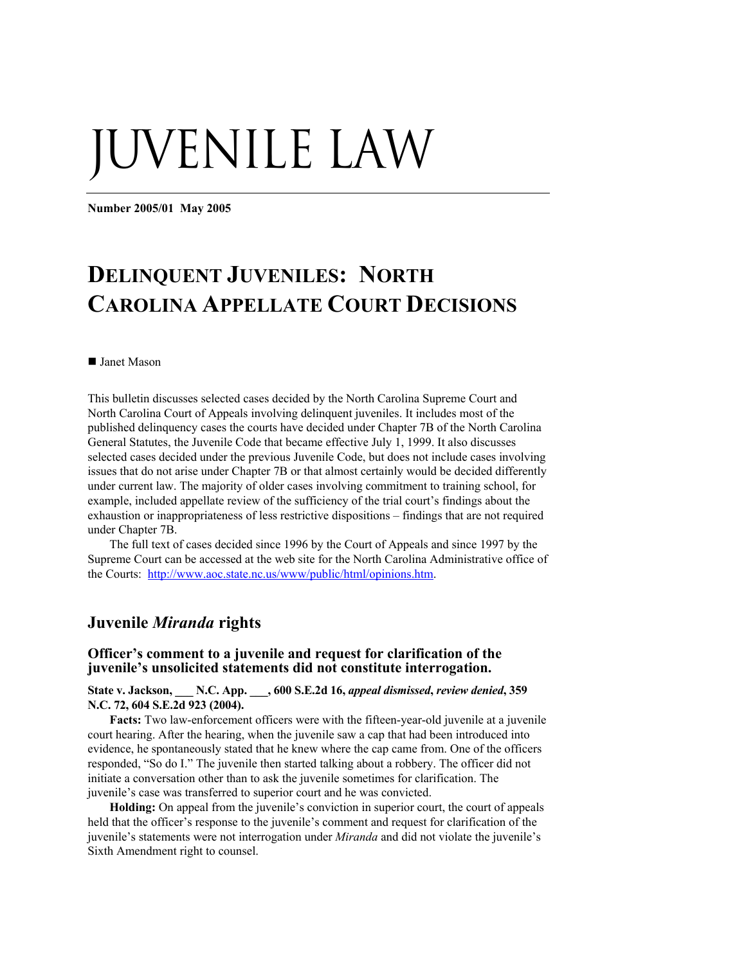# UVENILE LAW

**Number 2005/01 May 2005** 

# **DELINQUENT JUVENILES: NORTH CAROLINA APPELLATE COURT DECISIONS**

#### ■ Janet Mason

This bulletin discusses selected cases decided by the North Carolina Supreme Court and North Carolina Court of Appeals involving delinquent juveniles. It includes most of the published delinquency cases the courts have decided under Chapter 7B of the North Carolina General Statutes, the Juvenile Code that became effective July 1, 1999. It also discusses selected cases decided under the previous Juvenile Code, but does not include cases involving issues that do not arise under Chapter 7B or that almost certainly would be decided differently under current law. The majority of older cases involving commitment to training school, for example, included appellate review of the sufficiency of the trial court's findings about the exhaustion or inappropriateness of less restrictive dispositions – findings that are not required under Chapter 7B.

The full text of cases decided since 1996 by the Court of Appeals and since 1997 by the Supreme Court can be accessed at the web site for the North Carolina Administrative office of the Courts: [http://www.aoc.state.nc.us/www/public/html/opinions.htm.](http://www.aoc.state.nc.us/www/public/html/opinions.htm)

# **Juvenile** *Miranda* **rights**

#### **Officer's comment to a juvenile and request for clarification of the juvenile's unsolicited statements did not constitute interrogation.**

**State v. Jackson, \_\_\_ N.C. App. \_\_\_, 600 S.E.2d 16,** *appeal dismissed***,** *review denied***, 359 N.C. 72, 604 S.E.2d 923 (2004).** 

**Facts:** Two law-enforcement officers were with the fifteen-year-old juvenile at a juvenile court hearing. After the hearing, when the juvenile saw a cap that had been introduced into evidence, he spontaneously stated that he knew where the cap came from. One of the officers responded, "So do I." The juvenile then started talking about a robbery. The officer did not initiate a conversation other than to ask the juvenile sometimes for clarification. The juvenile's case was transferred to superior court and he was convicted.

**Holding:** On appeal from the juvenile's conviction in superior court, the court of appeals held that the officer's response to the juvenile's comment and request for clarification of the juvenile's statements were not interrogation under *Miranda* and did not violate the juvenile's Sixth Amendment right to counsel.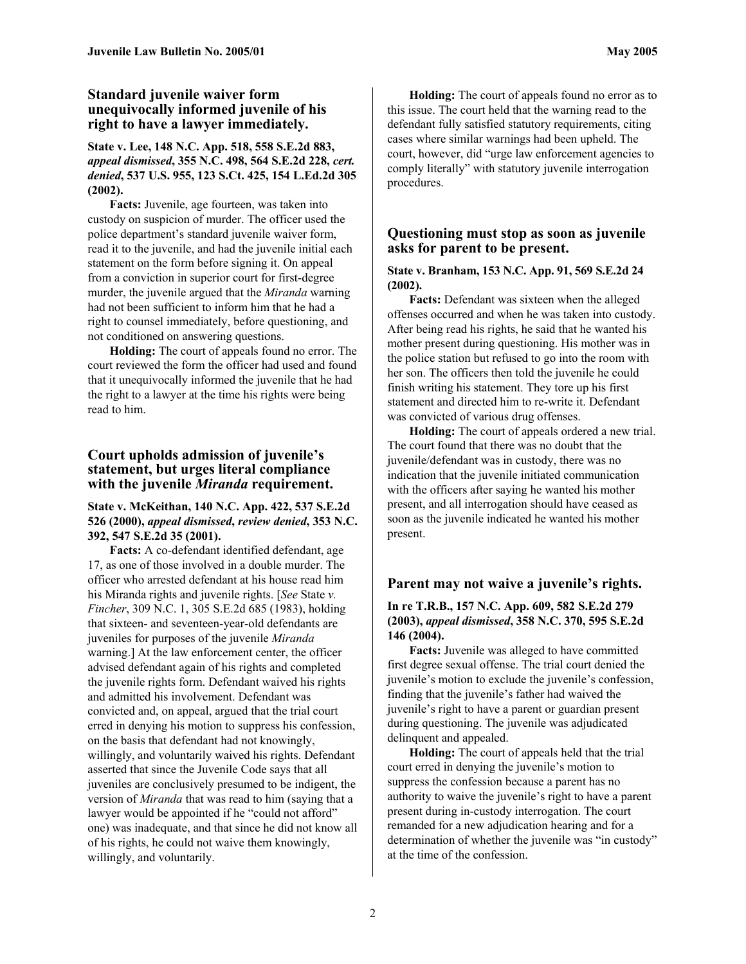# **Standard juvenile waiver form unequivocally informed juvenile of his right to have a lawyer immediately.**

### **State v. Lee, 148 N.C. App. 518, 558 S.E.2d 883,**  *appeal dismissed***, 355 N.C. 498, 564 S.E.2d 228,** *cert. denied***, 537 U.S. 955, 123 S.Ct. 425, 154 L.Ed.2d 305 (2002).**

**Facts:** Juvenile, age fourteen, was taken into custody on suspicion of murder. The officer used the police department's standard juvenile waiver form, read it to the juvenile, and had the juvenile initial each statement on the form before signing it. On appeal from a conviction in superior court for first-degree murder, the juvenile argued that the *Miranda* warning had not been sufficient to inform him that he had a right to counsel immediately, before questioning, and not conditioned on answering questions.

**Holding:** The court of appeals found no error. The court reviewed the form the officer had used and found that it unequivocally informed the juvenile that he had the right to a lawyer at the time his rights were being read to him.

# **Court upholds admission of juvenile's statement, but urges literal compliance with the juvenile** *Miranda* **requirement.**

# **State v. McKeithan, 140 N.C. App. 422, 537 S.E.2d 526 (2000),** *appeal dismissed***,** *review denied***, 353 N.C. 392, 547 S.E.2d 35 (2001).**

**Facts:** A co-defendant identified defendant, age 17, as one of those involved in a double murder. The officer who arrested defendant at his house read him his Miranda rights and juvenile rights. [*See* State *v. Fincher*, 309 N.C. 1, 305 S.E.2d 685 (1983), holding that sixteen- and seventeen-year-old defendants are juveniles for purposes of the juvenile *Miranda* warning.] At the law enforcement center, the officer advised defendant again of his rights and completed the juvenile rights form. Defendant waived his rights and admitted his involvement. Defendant was convicted and, on appeal, argued that the trial court erred in denying his motion to suppress his confession, on the basis that defendant had not knowingly, willingly, and voluntarily waived his rights. Defendant asserted that since the Juvenile Code says that all juveniles are conclusively presumed to be indigent, the version of *Miranda* that was read to him (saying that a lawyer would be appointed if he "could not afford" one) was inadequate, and that since he did not know all of his rights, he could not waive them knowingly, willingly, and voluntarily.

**Holding:** The court of appeals found no error as to this issue. The court held that the warning read to the defendant fully satisfied statutory requirements, citing cases where similar warnings had been upheld. The court, however, did "urge law enforcement agencies to comply literally" with statutory juvenile interrogation procedures.

# **Questioning must stop as soon as juvenile asks for parent to be present.**

#### **State v. Branham, 153 N.C. App. 91, 569 S.E.2d 24 (2002).**

**Facts:** Defendant was sixteen when the alleged offenses occurred and when he was taken into custody. After being read his rights, he said that he wanted his mother present during questioning. His mother was in the police station but refused to go into the room with her son. The officers then told the juvenile he could finish writing his statement. They tore up his first statement and directed him to re-write it. Defendant was convicted of various drug offenses.

**Holding:** The court of appeals ordered a new trial. The court found that there was no doubt that the juvenile/defendant was in custody, there was no indication that the juvenile initiated communication with the officers after saying he wanted his mother present, and all interrogation should have ceased as soon as the juvenile indicated he wanted his mother present.

# **Parent may not waive a juvenile's rights.**

### **In re T.R.B., 157 N.C. App. 609, 582 S.E.2d 279 (2003),** *appeal dismissed***, 358 N.C. 370, 595 S.E.2d 146 (2004).**

**Facts:** Juvenile was alleged to have committed first degree sexual offense. The trial court denied the juvenile's motion to exclude the juvenile's confession, finding that the juvenile's father had waived the juvenile's right to have a parent or guardian present during questioning. The juvenile was adjudicated delinquent and appealed.

**Holding:** The court of appeals held that the trial court erred in denying the juvenile's motion to suppress the confession because a parent has no authority to waive the juvenile's right to have a parent present during in-custody interrogation. The court remanded for a new adjudication hearing and for a determination of whether the juvenile was "in custody" at the time of the confession.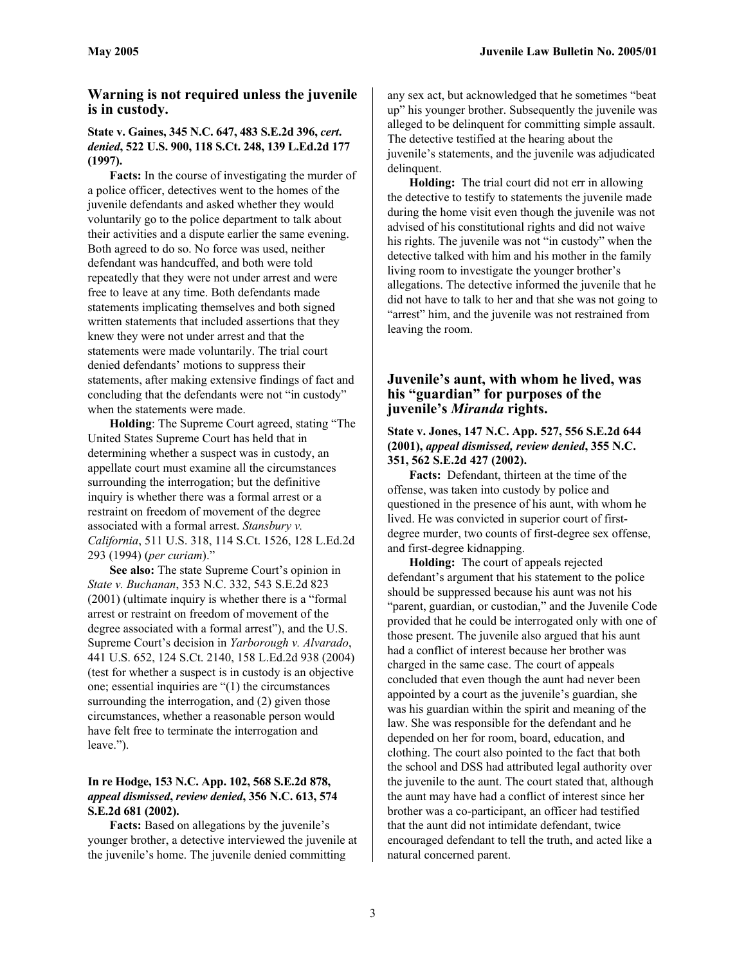# **Warning is not required unless the juvenile is in custody.**

#### **[State v. Gaines, 345 N.C. 647, 483 S.E.2d 396,](http://web2.westlaw.com/find/default.wl?DB=711&SerialNum=1997089634&FindType=Y&ReferencePositionType=S&ReferencePosition=405&AP=&mt=NorthCarolina&fn=_top&sv=Split&vr=2.0&rs=WLW5.04)** *cert***.**  *denied***, 522 [U.S. 900, 118 S.Ct. 248, 139 L.Ed.2d 177](http://web2.westlaw.com/find/default.wl?DB=708&SerialNum=1997175538&FindType=Y&AP=&mt=NorthCarolina&fn=_top&sv=Split&vr=2.0&rs=WLW5.04)  [\(1997\)](http://web2.westlaw.com/find/default.wl?DB=708&SerialNum=1997175538&FindType=Y&AP=&mt=NorthCarolina&fn=_top&sv=Split&vr=2.0&rs=WLW5.04).**

**Facts:** In the course of investigating the murder of a police officer, detectives went to the homes of the juvenile defendants and asked whether they would voluntarily go to the police department to talk about their activities and a dispute earlier the same evening. Both agreed to do so. No force was used, neither defendant was handcuffed, and both were told repeatedly that they were not under arrest and were free to leave at any time. Both defendants made statements implicating themselves and both signed written statements that included assertions that they knew they were not under arrest and that the statements were made voluntarily. The trial court denied defendants' motions to suppress their statements, after making extensive findings of fact and concluding that the defendants were not "in custody" when the statements were made.

**Holding**: The Supreme Court agreed, stating "The United States Supreme Court has held that in determining whether a suspect was in custody, an appellate court must examine all the circumstances surrounding the interrogation; but the definitive inquiry is whether there was a formal arrest or a restraint on freedom of movement of the degree associated with a formal arrest. *Stansbury v. California*, 511 U.S. 318, 114 S.Ct. 1526, 128 L.Ed.2d 293 (1994) (*per curiam*)."

**See also:** The state Supreme Court's opinion in *State v. Buchanan*, 353 N.C. 332, 543 S.E.2d 823 (2001) (ultimate inquiry is whether there is a "formal arrest or restraint on freedom of movement of the degree associated with a formal arrest"), and the U.S. Supreme Court's decision in *Yarborough v. Alvarado*, 441 U.S. 652, 124 S.Ct. 2140, 158 L.Ed.2d 938 (2004) (test for whether a suspect is in custody is an objective one; essential inquiries are "(1) the circumstances surrounding the interrogation, and (2) given those circumstances, whether a reasonable person would have felt free to terminate the interrogation and leave.").

# **In re Hodge, 153 N.C. App. 102, 568 S.E.2d 878,**  *appeal dismissed***,** *review denied***, 356 N.C. 613, 574 S.E.2d 681 (2002).**

**Facts:** Based on allegations by the juvenile's younger brother, a detective interviewed the juvenile at the juvenile's home. The juvenile denied committing

any sex act, but acknowledged that he sometimes "beat up" his younger brother. Subsequently the juvenile was alleged to be delinquent for committing simple assault. The detective testified at the hearing about the juvenile's statements, and the juvenile was adjudicated delinquent.

**Holding:** The trial court did not err in allowing the detective to testify to statements the juvenile made during the home visit even though the juvenile was not advised of his constitutional rights and did not waive his rights. The juvenile was not "in custody" when the detective talked with him and his mother in the family living room to investigate the younger brother's allegations. The detective informed the juvenile that he did not have to talk to her and that she was not going to "arrest" him, and the juvenile was not restrained from leaving the room.

# **Juvenile's aunt, with whom he lived, was his "guardian" for purposes of the juvenile's** *Miranda* **rights.**

### **State v. Jones, 147 N.C. App. 527, 556 S.E.2d 644 (2001),** *appeal dismissed, review denied***, 355 N.C. 351, 562 S.E.2d 427 (2002).**

**Facts:** Defendant, thirteen at the time of the offense, was taken into custody by police and questioned in the presence of his aunt, with whom he lived. He was convicted in superior court of firstdegree murder, two counts of first-degree sex offense, and first-degree kidnapping.

**Holding:** The court of appeals rejected defendant's argument that his statement to the police should be suppressed because his aunt was not his "parent, guardian, or custodian," and the Juvenile Code provided that he could be interrogated only with one of those present. The juvenile also argued that his aunt had a conflict of interest because her brother was charged in the same case. The court of appeals concluded that even though the aunt had never been appointed by a court as the juvenile's guardian, she was his guardian within the spirit and meaning of the law. She was responsible for the defendant and he depended on her for room, board, education, and clothing. The court also pointed to the fact that both the school and DSS had attributed legal authority over the juvenile to the aunt. The court stated that, although the aunt may have had a conflict of interest since her brother was a co-participant, an officer had testified that the aunt did not intimidate defendant, twice encouraged defendant to tell the truth, and acted like a natural concerned parent.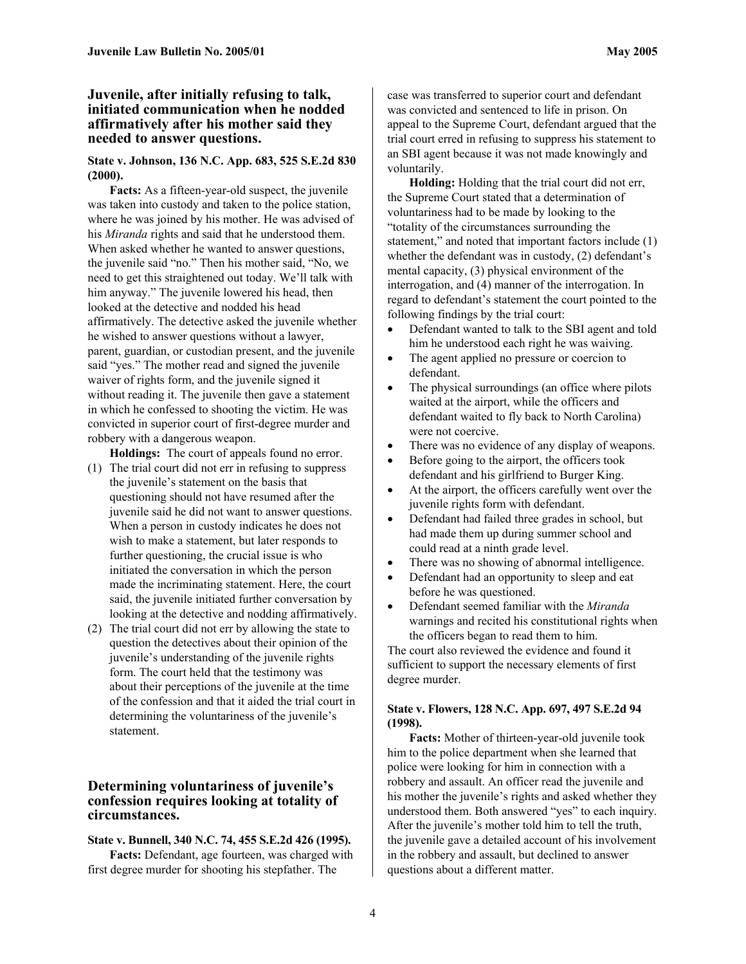#### **Juvenile, after initially refusing to talk, initiated communication when he nodded affirmatively after his mother said they needed to answer questions.**

#### **State v. Johnson, 136 N.C. App. 683, 525 S.E.2d 830 (2000).**

**Facts:** As a fifteen-year-old suspect, the juvenile was taken into custody and taken to the police station, where he was joined by his mother. He was advised of his *Miranda* rights and said that he understood them. When asked whether he wanted to answer questions, the juvenile said "no." Then his mother said, "No, we need to get this straightened out today. We'll talk with him anyway." The juvenile lowered his head, then looked at the detective and nodded his head affirmatively. The detective asked the juvenile whether he wished to answer questions without a lawyer, parent, guardian, or custodian present, and the juvenile said "yes." The mother read and signed the juvenile waiver of rights form, and the juvenile signed it without reading it. The juvenile then gave a statement in which he confessed to shooting the victim. He was convicted in superior court of first-degree murder and robbery with a dangerous weapon.

**Holdings:** The court of appeals found no error.

- (1) The trial court did not err in refusing to suppress the juvenile's statement on the basis that questioning should not have resumed after the juvenile said he did not want to answer questions. When a person in custody indicates he does not wish to make a statement, but later responds to further questioning, the crucial issue is who initiated the conversation in which the person made the incriminating statement. Here, the court said, the juvenile initiated further conversation by looking at the detective and nodding affirmatively.
- (2) The trial court did not err by allowing the state to question the detectives about their opinion of the juvenile's understanding of the juvenile rights form. The court held that the testimony was about their perceptions of the juvenile at the time of the confession and that it aided the trial court in determining the voluntariness of the juvenile's statement.

# **Determining voluntariness of juvenile's confession requires looking at totality of circumstances.**

#### **State v. Bunnell, 340 N.C. 74, 455 S.E.2d 426 (1995).**

**Facts:** Defendant, age fourteen, was charged with first degree murder for shooting his stepfather. The

case was transferred to superior court and defendant was convicted and sentenced to life in prison. On appeal to the Supreme Court, defendant argued that the trial court erred in refusing to suppress his statement to an SBI agent because it was not made knowingly and voluntarily.

**Holding:** Holding that the trial court did not err, the Supreme Court stated that a determination of voluntariness had to be made by looking to the "totality of the circumstances surrounding the statement," and noted that important factors include (1) whether the defendant was in custody, (2) defendant's mental capacity, (3) physical environment of the interrogation, and (4) manner of the interrogation. In regard to defendant's statement the court pointed to the following findings by the trial court:

- Defendant wanted to talk to the SBI agent and told him he understood each right he was waiving.
- The agent applied no pressure or coercion to defendant.
- The physical surroundings (an office where pilots waited at the airport, while the officers and defendant waited to fly back to North Carolina) were not coercive.
- There was no evidence of any display of weapons.
- Before going to the airport, the officers took defendant and his girlfriend to Burger King.
- At the airport, the officers carefully went over the juvenile rights form with defendant.
- Defendant had failed three grades in school, but had made them up during summer school and could read at a ninth grade level.
- There was no showing of abnormal intelligence.
- Defendant had an opportunity to sleep and eat before he was questioned.
- Defendant seemed familiar with the *Miranda* warnings and recited his constitutional rights when the officers began to read them to him.

The court also reviewed the evidence and found it sufficient to support the necessary elements of first degree murder.

#### **State v. Flowers, 128 N.C. App. 697, 497 S.E.2d 94 (1998).**

**Facts:** Mother of thirteen-year-old juvenile took him to the police department when she learned that police were looking for him in connection with a robbery and assault. An officer read the juvenile and his mother the juvenile's rights and asked whether they understood them. Both answered "yes" to each inquiry. After the juvenile's mother told him to tell the truth, the juvenile gave a detailed account of his involvement in the robbery and assault, but declined to answer questions about a different matter.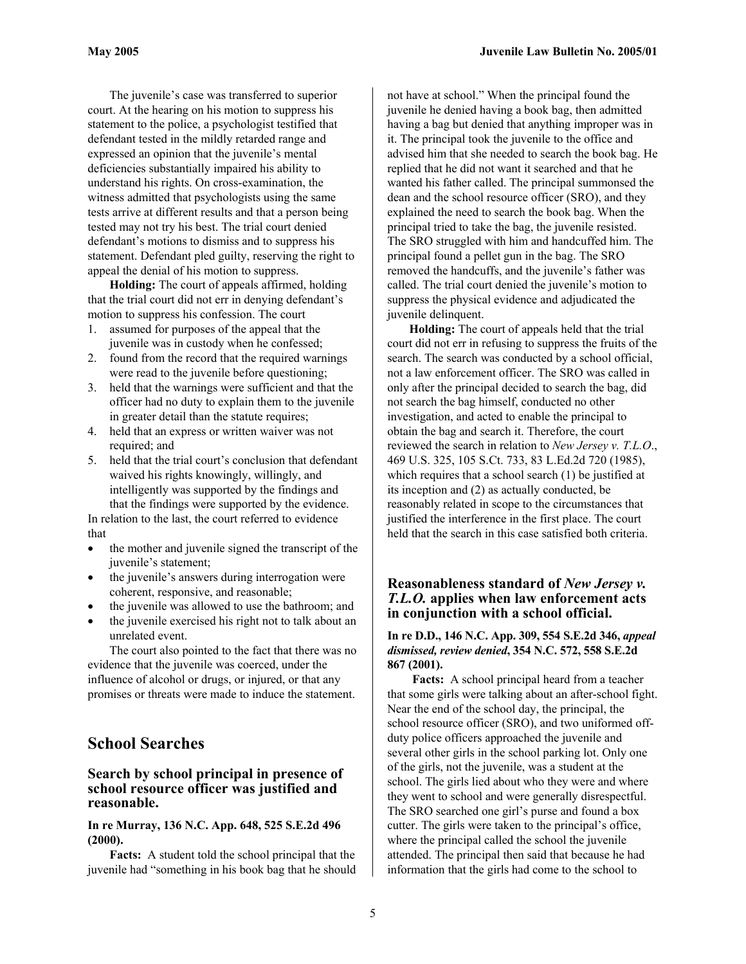The juvenile's case was transferred to superior court. At the hearing on his motion to suppress his statement to the police, a psychologist testified that defendant tested in the mildly retarded range and expressed an opinion that the juvenile's mental deficiencies substantially impaired his ability to understand his rights. On cross-examination, the witness admitted that psychologists using the same tests arrive at different results and that a person being tested may not try his best. The trial court denied defendant's motions to dismiss and to suppress his statement. Defendant pled guilty, reserving the right to appeal the denial of his motion to suppress.

**Holding:** The court of appeals affirmed, holding that the trial court did not err in denying defendant's motion to suppress his confession. The court

- 1. assumed for purposes of the appeal that the juvenile was in custody when he confessed;
- 2. found from the record that the required warnings were read to the juvenile before questioning;
- 3. held that the warnings were sufficient and that the officer had no duty to explain them to the juvenile in greater detail than the statute requires;
- 4. held that an express or written waiver was not required; and
- 5. held that the trial court's conclusion that defendant waived his rights knowingly, willingly, and intelligently was supported by the findings and that the findings were supported by the evidence.

In relation to the last, the court referred to evidence that

- the mother and juvenile signed the transcript of the juvenile's statement;
- the juvenile's answers during interrogation were coherent, responsive, and reasonable;
- the juvenile was allowed to use the bathroom; and
- the juvenile exercised his right not to talk about an unrelated event.

The court also pointed to the fact that there was no evidence that the juvenile was coerced, under the influence of alcohol or drugs, or injured, or that any promises or threats were made to induce the statement.

# **School Searches**

# **Search by school principal in presence of school resource officer was justified and reasonable.**

#### **In re Murray, 136 N.C. App. 648, 525 S.E.2d 496 (2000).**

**Facts:** A student told the school principal that the juvenile had "something in his book bag that he should

not have at school." When the principal found the juvenile he denied having a book bag, then admitted having a bag but denied that anything improper was in it. The principal took the juvenile to the office and advised him that she needed to search the book bag. He replied that he did not want it searched and that he wanted his father called. The principal summonsed the dean and the school resource officer (SRO), and they explained the need to search the book bag. When the principal tried to take the bag, the juvenile resisted. The SRO struggled with him and handcuffed him. The principal found a pellet gun in the bag. The SRO removed the handcuffs, and the juvenile's father was called. The trial court denied the juvenile's motion to suppress the physical evidence and adjudicated the juvenile delinquent.

**Holding:** The court of appeals held that the trial court did not err in refusing to suppress the fruits of the search. The search was conducted by a school official, not a law enforcement officer. The SRO was called in only after the principal decided to search the bag, did not search the bag himself, conducted no other investigation, and acted to enable the principal to obtain the bag and search it. Therefore, the court reviewed the search in relation to *New Jersey v. T.L.O*., 469 U.S. 325, 105 S.Ct. 733, 83 L.Ed.2d 720 (1985), which requires that a school search (1) be justified at its inception and (2) as actually conducted, be reasonably related in scope to the circumstances that justified the interference in the first place. The court held that the search in this case satisfied both criteria.

# **Reasonableness standard of** *New Jersey v. T.L.O.* **applies when law enforcement acts in conjunction with a school official.**

# **In re D.D., 146 N.C. App. 309, 554 S.E.2d 346,** *appeal dismissed, review denied***, 354 N.C. 572, 558 S.E.2d 867 (2001).**

 **Facts:** A school principal heard from a teacher that some girls were talking about an after-school fight. Near the end of the school day, the principal, the school resource officer (SRO), and two uniformed offduty police officers approached the juvenile and several other girls in the school parking lot. Only one of the girls, not the juvenile, was a student at the school. The girls lied about who they were and where they went to school and were generally disrespectful. The SRO searched one girl's purse and found a box cutter. The girls were taken to the principal's office, where the principal called the school the juvenile attended. The principal then said that because he had information that the girls had come to the school to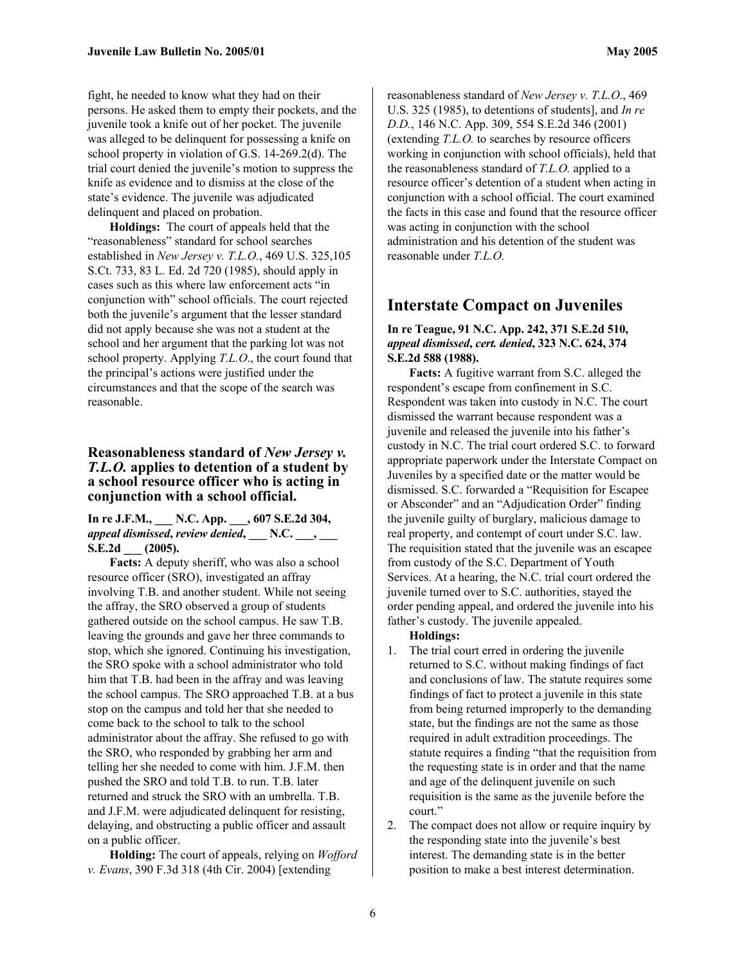fight, he needed to know what they had on their persons. He asked them to empty their pockets, and the juvenile took a knife out of her pocket. The juvenile was alleged to be delinquent for possessing a knife on school property in violation of G.S. 14-269.2(d). The trial court denied the juvenile's motion to suppress the knife as evidence and to dismiss at the close of the state's evidence. The juvenile was adjudicated delinquent and placed on probation.

**Holdings:** The court of appeals held that the "reasonableness" standard for school searches established in *New Jersey v. T.L.O.*, 469 U.S. 325,105 S.Ct. 733, 83 L. Ed. 2d 720 (1985), should apply in cases such as this where law enforcement acts "in conjunction with" school officials. The court rejected both the juvenile's argument that the lesser standard did not apply because she was not a student at the school and her argument that the parking lot was not school property. Applying *T.L.O*., the court found that the principal's actions were justified under the circumstances and that the scope of the search was reasonable.

# **Reasonableness standard of** *New Jersey v. T.L.O.* **applies to detention of a student by a school resource officer who is acting in conjunction with a school official.**

#### **In re J.F.M., \_\_\_ N.C. App. \_\_\_, 607 S.E.2d 304,**  *appeal dismissed***,** *review denied***, \_\_\_ N.C. \_\_\_, \_\_\_ S.E.2d \_\_\_ (2005).**

**Facts:** A deputy sheriff, who was also a school resource officer (SRO), investigated an affray involving T.B. and another student. While not seeing the affray, the SRO observed a group of students gathered outside on the school campus. He saw T.B. leaving the grounds and gave her three commands to stop, which she ignored. Continuing his investigation, the SRO spoke with a school administrator who told him that T.B. had been in the affray and was leaving the school campus. The SRO approached T.B. at a bus stop on the campus and told her that she needed to come back to the school to talk to the school administrator about the affray. She refused to go with the SRO, who responded by grabbing her arm and telling her she needed to come with him. J.F.M. then pushed the SRO and told T.B. to run. T.B. later returned and struck the SRO with an umbrella. T.B. and J.F.M. were adjudicated delinquent for resisting, delaying, and obstructing a public officer and assault on a public officer.

**Holding:** The court of appeals, relying on *Wofford v. Evans*, 390 F.3d 318 (4th Cir. 2004) [extending

reasonableness standard of *New Jersey v. T.L.O*., 469 U.S. 325 (1985), to detentions of students], and *In re D.D.*, 146 N.C. App. 309, 554 S.E.2d 346 (2001) (extending *T.L.O.* to searches by resource officers working in conjunction with school officials), held that the reasonableness standard of *T.L.O.* applied to a resource officer's detention of a student when acting in conjunction with a school official. The court examined the facts in this case and found that the resource officer was acting in conjunction with the school administration and his detention of the student was reasonable under *T.L.O.*

# **Interstate Compact on Juveniles**

#### **In re Teague, 91 N.C. App. 242, 371 S.E.2d 510,**  *appeal dismissed***,** *cert. denied***, 323 N.C. 624, 374 S.E.2d 588 (1988).**

**Facts:** A fugitive warrant from S.C. alleged the respondent's escape from confinement in S.C. Respondent was taken into custody in N.C. The court dismissed the warrant because respondent was a juvenile and released the juvenile into his father's custody in N.C. The trial court ordered S.C. to forward appropriate paperwork under the Interstate Compact on Juveniles by a specified date or the matter would be dismissed. S.C. forwarded a "Requisition for Escapee or Absconder" and an "Adjudication Order" finding the juvenile guilty of burglary, malicious damage to real property, and contempt of court under S.C. law. The requisition stated that the juvenile was an escapee from custody of the S.C. Department of Youth Services. At a hearing, the N.C. trial court ordered the juvenile turned over to S.C. authorities, stayed the order pending appeal, and ordered the juvenile into his father's custody. The juvenile appealed.

#### **Holdings:**

- 1. The trial court erred in ordering the juvenile returned to S.C. without making findings of fact and conclusions of law. The statute requires some findings of fact to protect a juvenile in this state from being returned improperly to the demanding state, but the findings are not the same as those required in adult extradition proceedings. The statute requires a finding "that the requisition from the requesting state is in order and that the name and age of the delinquent juvenile on such requisition is the same as the juvenile before the court."
- 2. The compact does not allow or require inquiry by the responding state into the juvenile's best interest. The demanding state is in the better position to make a best interest determination.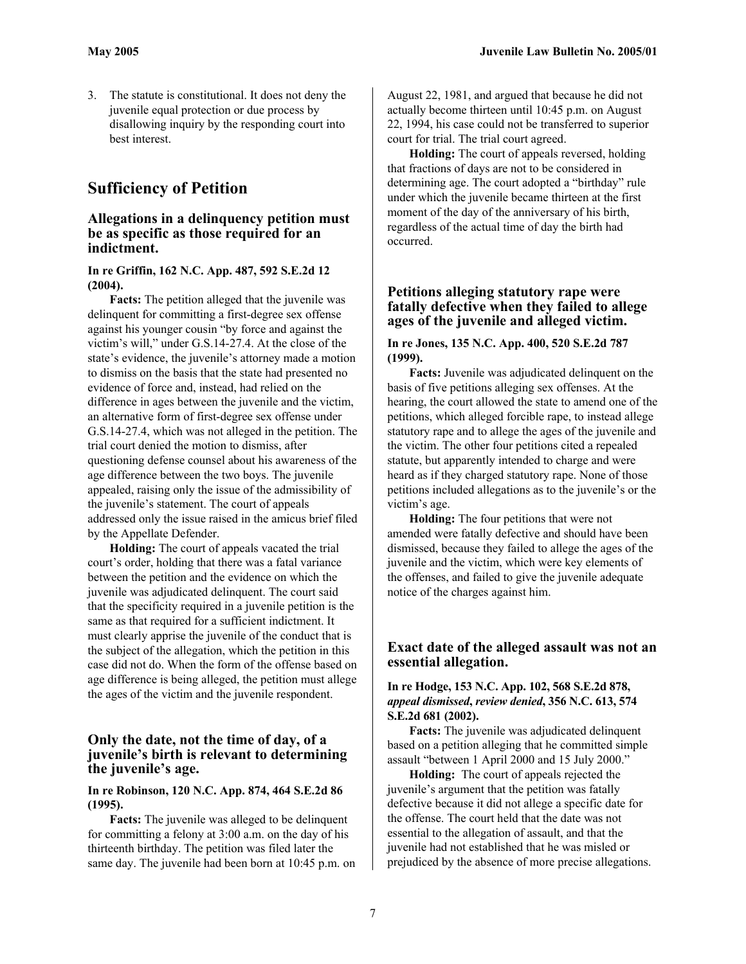3. The statute is constitutional. It does not deny the juvenile equal protection or due process by disallowing inquiry by the responding court into best interest.

# **Sufficiency of Petition**

# **Allegations in a delinquency petition must be as specific as those required for an indictment.**

**In re Griffin, 162 N.C. App. 487, 592 S.E.2d 12 (2004).** 

**Facts:** The petition alleged that the juvenile was delinquent for committing a first-degree sex offense against his younger cousin "by force and against the victim's will," under G.S.14-27.4. At the close of the state's evidence, the juvenile's attorney made a motion to dismiss on the basis that the state had presented no evidence of force and, instead, had relied on the difference in ages between the juvenile and the victim, an alternative form of first-degree sex offense under G.S.14-27.4, which was not alleged in the petition. The trial court denied the motion to dismiss, after questioning defense counsel about his awareness of the age difference between the two boys. The juvenile appealed, raising only the issue of the admissibility of the juvenile's statement. The court of appeals addressed only the issue raised in the amicus brief filed by the Appellate Defender.

**Holding:** The court of appeals vacated the trial court's order, holding that there was a fatal variance between the petition and the evidence on which the juvenile was adjudicated delinquent. The court said that the specificity required in a juvenile petition is the same as that required for a sufficient indictment. It must clearly apprise the juvenile of the conduct that is the subject of the allegation, which the petition in this case did not do. When the form of the offense based on age difference is being alleged, the petition must allege the ages of the victim and the juvenile respondent.

# **Only the date, not the time of day, of a juvenile's birth is relevant to determining the juvenile's age.**

#### **In re Robinson, 120 N.C. App. 874, 464 S.E.2d 86 (1995).**

**Facts:** The juvenile was alleged to be delinquent for committing a felony at 3:00 a.m. on the day of his thirteenth birthday. The petition was filed later the same day. The juvenile had been born at 10:45 p.m. on

August 22, 1981, and argued that because he did not actually become thirteen until 10:45 p.m. on August 22, 1994, his case could not be transferred to superior court for trial. The trial court agreed.

**Holding:** The court of appeals reversed, holding that fractions of days are not to be considered in determining age. The court adopted a "birthday" rule under which the juvenile became thirteen at the first moment of the day of the anniversary of his birth, regardless of the actual time of day the birth had occurred.

# **Petitions alleging statutory rape were fatally defective when they failed to allege ages of the juvenile and alleged victim.**

#### **In re Jones, 135 N.C. App. 400, 520 S.E.2d 787 (1999).**

**Facts:** Juvenile was adjudicated delinquent on the basis of five petitions alleging sex offenses. At the hearing, the court allowed the state to amend one of the petitions, which alleged forcible rape, to instead allege statutory rape and to allege the ages of the juvenile and the victim. The other four petitions cited a repealed statute, but apparently intended to charge and were heard as if they charged statutory rape. None of those petitions included allegations as to the juvenile's or the victim's age.

**Holding:** The four petitions that were not amended were fatally defective and should have been dismissed, because they failed to allege the ages of the juvenile and the victim, which were key elements of the offenses, and failed to give the juvenile adequate notice of the charges against him.

# **Exact date of the alleged assault was not an essential allegation.**

#### **In re Hodge, 153 N.C. App. 102, 568 S.E.2d 878,**  *appeal dismissed***,** *review denied***, 356 N.C. 613, 574 S.E.2d 681 (2002).**

**Facts:** The juvenile was adjudicated delinquent based on a petition alleging that he committed simple assault "between 1 April 2000 and 15 July 2000."

**Holding:** The court of appeals rejected the juvenile's argument that the petition was fatally defective because it did not allege a specific date for the offense. The court held that the date was not essential to the allegation of assault, and that the juvenile had not established that he was misled or prejudiced by the absence of more precise allegations.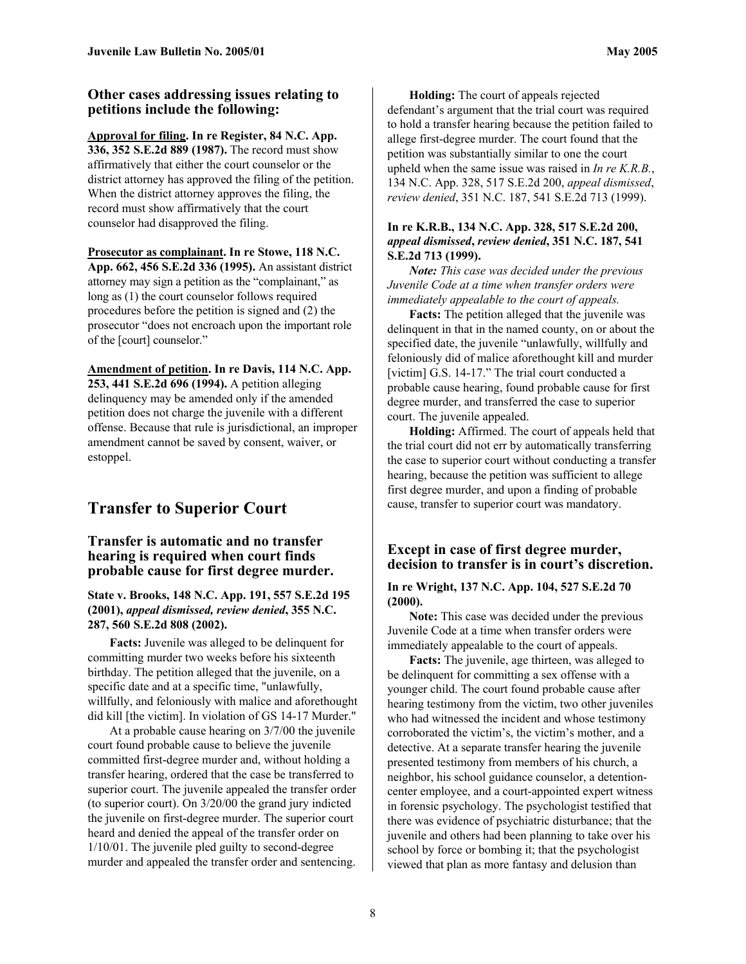# **Other cases addressing issues relating to petitions include the following:**

**Approval for filing. In re Register, 84 N.C. App. 336, 352 S.E.2d 889 (1987).** The record must show affirmatively that either the court counselor or the district attorney has approved the filing of the petition. When the district attorney approves the filing, the record must show affirmatively that the court counselor had disapproved the filing.

**Prosecutor as complainant. In re Stowe, 118 N.C. App. 662, 456 S.E.2d 336 (1995).** An assistant district attorney may sign a petition as the "complainant," as long as (1) the court counselor follows required procedures before the petition is signed and (2) the prosecutor "does not encroach upon the important role of the [court] counselor."

**Amendment of petition. In re Davis, 114 N.C. App. 253, 441 S.E.2d 696 (1994).** A petition alleging delinquency may be amended only if the amended petition does not charge the juvenile with a different offense. Because that rule is jurisdictional, an improper amendment cannot be saved by consent, waiver, or estoppel.

# **Transfer to Superior Court**

# **Transfer is automatic and no transfer hearing is required when court finds probable cause for first degree murder.**

**State v. Brooks, 148 N.C. App. 191, 557 S.E.2d 195 (2001),** *appeal dismissed, review denied***, 355 N.C. 287, 560 S.E.2d 808 (2002).** 

**Facts:** Juvenile was alleged to be delinquent for committing murder two weeks before his sixteenth birthday. The petition alleged that the juvenile, on a specific date and at a specific time, "unlawfully, willfully, and feloniously with malice and aforethought did kill [the victim]. In violation of GS 14-17 Murder."

At a probable cause hearing on 3/7/00 the juvenile court found probable cause to believe the juvenile committed first-degree murder and, without holding a transfer hearing, ordered that the case be transferred to superior court. The juvenile appealed the transfer order (to superior court). On 3/20/00 the grand jury indicted the juvenile on first-degree murder. The superior court heard and denied the appeal of the transfer order on 1/10/01. The juvenile pled guilty to second-degree murder and appealed the transfer order and sentencing.

**Holding:** The court of appeals rejected defendant's argument that the trial court was required to hold a transfer hearing because the petition failed to allege first-degree murder. The court found that the petition was substantially similar to one the court upheld when the same issue was raised in *In re K.R.B.*, 134 N.C. App. 328, 517 S.E.2d 200, *appeal dismissed*, *review denied*, 351 N.C. 187, 541 S.E.2d 713 (1999).

### **In re K.R.B., 134 N.C. App. 328, 517 S.E.2d 200,** *appeal dismissed***,** *review denied***, 351 N.C. 187, 541 S.E.2d 713 (1999).**

*Note: This case was decided under the previous Juvenile Code at a time when transfer orders were immediately appealable to the court of appeals.* 

**Facts:** The petition alleged that the juvenile was delinquent in that in the named county, on or about the specified date, the juvenile "unlawfully, willfully and feloniously did of malice aforethought kill and murder [victim] G.S. 14-17." The trial court conducted a probable cause hearing, found probable cause for first degree murder, and transferred the case to superior court. The juvenile appealed.

**Holding:** Affirmed. The court of appeals held that the trial court did not err by automatically transferring the case to superior court without conducting a transfer hearing, because the petition was sufficient to allege first degree murder, and upon a finding of probable cause, transfer to superior court was mandatory.

# **Except in case of first degree murder, decision to transfer is in court's discretion.**

#### **In re Wright, 137 N.C. App. 104, 527 S.E.2d 70 (2000).**

**Note:** This case was decided under the previous Juvenile Code at a time when transfer orders were immediately appealable to the court of appeals.

**Facts:** The juvenile, age thirteen, was alleged to be delinquent for committing a sex offense with a younger child. The court found probable cause after hearing testimony from the victim, two other juveniles who had witnessed the incident and whose testimony corroborated the victim's, the victim's mother, and a detective. At a separate transfer hearing the juvenile presented testimony from members of his church, a neighbor, his school guidance counselor, a detentioncenter employee, and a court-appointed expert witness in forensic psychology. The psychologist testified that there was evidence of psychiatric disturbance; that the juvenile and others had been planning to take over his school by force or bombing it; that the psychologist viewed that plan as more fantasy and delusion than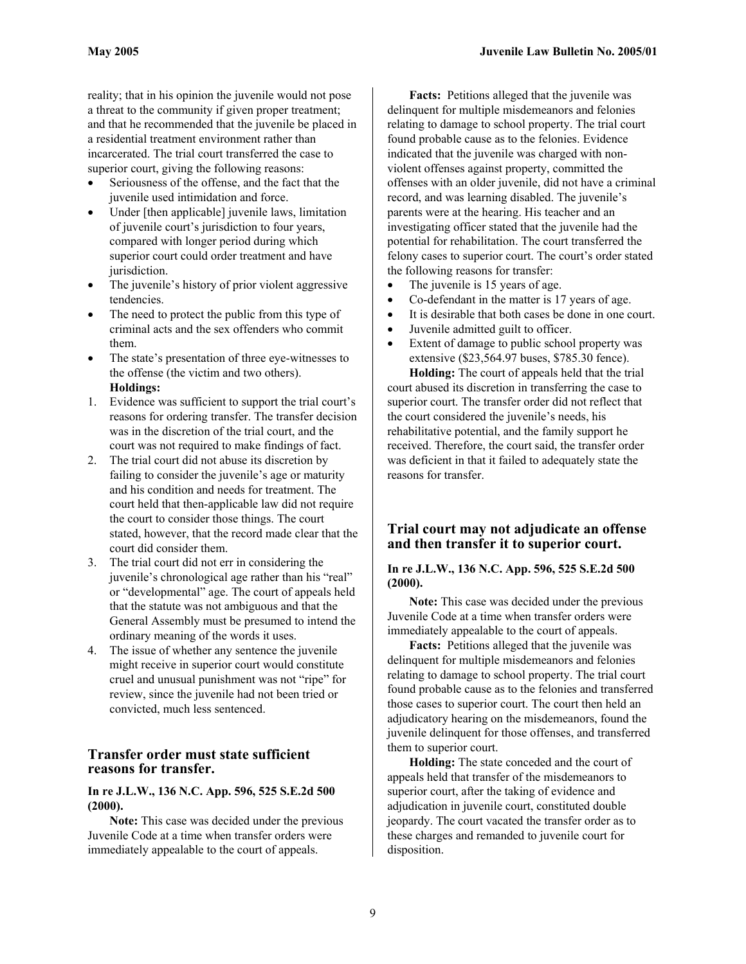reality; that in his opinion the juvenile would not pose a threat to the community if given proper treatment; and that he recommended that the juvenile be placed in a residential treatment environment rather than incarcerated. The trial court transferred the case to superior court, giving the following reasons:

- Seriousness of the offense, and the fact that the juvenile used intimidation and force.
- Under [then applicable] juvenile laws, limitation of juvenile court's jurisdiction to four years, compared with longer period during which superior court could order treatment and have jurisdiction.
- The juvenile's history of prior violent aggressive tendencies.
- The need to protect the public from this type of criminal acts and the sex offenders who commit them.
- The state's presentation of three eye-witnesses to the offense (the victim and two others). **Holdings:**
- 1. Evidence was sufficient to support the trial court's reasons for ordering transfer. The transfer decision was in the discretion of the trial court, and the court was not required to make findings of fact.
- 2. The trial court did not abuse its discretion by failing to consider the juvenile's age or maturity and his condition and needs for treatment. The court held that then-applicable law did not require the court to consider those things. The court stated, however, that the record made clear that the court did consider them.
- 3. The trial court did not err in considering the juvenile's chronological age rather than his "real" or "developmental" age. The court of appeals held that the statute was not ambiguous and that the General Assembly must be presumed to intend the ordinary meaning of the words it uses.
- 4. The issue of whether any sentence the juvenile might receive in superior court would constitute cruel and unusual punishment was not "ripe" for review, since the juvenile had not been tried or convicted, much less sentenced.

# **Transfer order must state sufficient reasons for transfer.**

#### **In re J.L.W., 136 N.C. App. 596, 525 S.E.2d 500 (2000).**

**Note:** This case was decided under the previous Juvenile Code at a time when transfer orders were immediately appealable to the court of appeals.

**Facts:** Petitions alleged that the juvenile was delinquent for multiple misdemeanors and felonies relating to damage to school property. The trial court found probable cause as to the felonies. Evidence indicated that the juvenile was charged with nonviolent offenses against property, committed the offenses with an older juvenile, did not have a criminal record, and was learning disabled. The juvenile's parents were at the hearing. His teacher and an investigating officer stated that the juvenile had the potential for rehabilitation. The court transferred the felony cases to superior court. The court's order stated the following reasons for transfer:

- The juvenile is 15 years of age.
- Co-defendant in the matter is 17 years of age.
- It is desirable that both cases be done in one court.
- Juvenile admitted guilt to officer.
- Extent of damage to public school property was extensive (\$23,564.97 buses, \$785.30 fence).

**Holding:** The court of appeals held that the trial court abused its discretion in transferring the case to superior court. The transfer order did not reflect that the court considered the juvenile's needs, his rehabilitative potential, and the family support he received. Therefore, the court said, the transfer order was deficient in that it failed to adequately state the reasons for transfer.

# **Trial court may not adjudicate an offense and then transfer it to superior court.**

#### **In re J.L.W., 136 N.C. App. 596, 525 S.E.2d 500 (2000).**

**Note:** This case was decided under the previous Juvenile Code at a time when transfer orders were immediately appealable to the court of appeals.

**Facts:** Petitions alleged that the juvenile was delinquent for multiple misdemeanors and felonies relating to damage to school property. The trial court found probable cause as to the felonies and transferred those cases to superior court. The court then held an adjudicatory hearing on the misdemeanors, found the juvenile delinquent for those offenses, and transferred them to superior court.

**Holding:** The state conceded and the court of appeals held that transfer of the misdemeanors to superior court, after the taking of evidence and adjudication in juvenile court, constituted double jeopardy. The court vacated the transfer order as to these charges and remanded to juvenile court for disposition.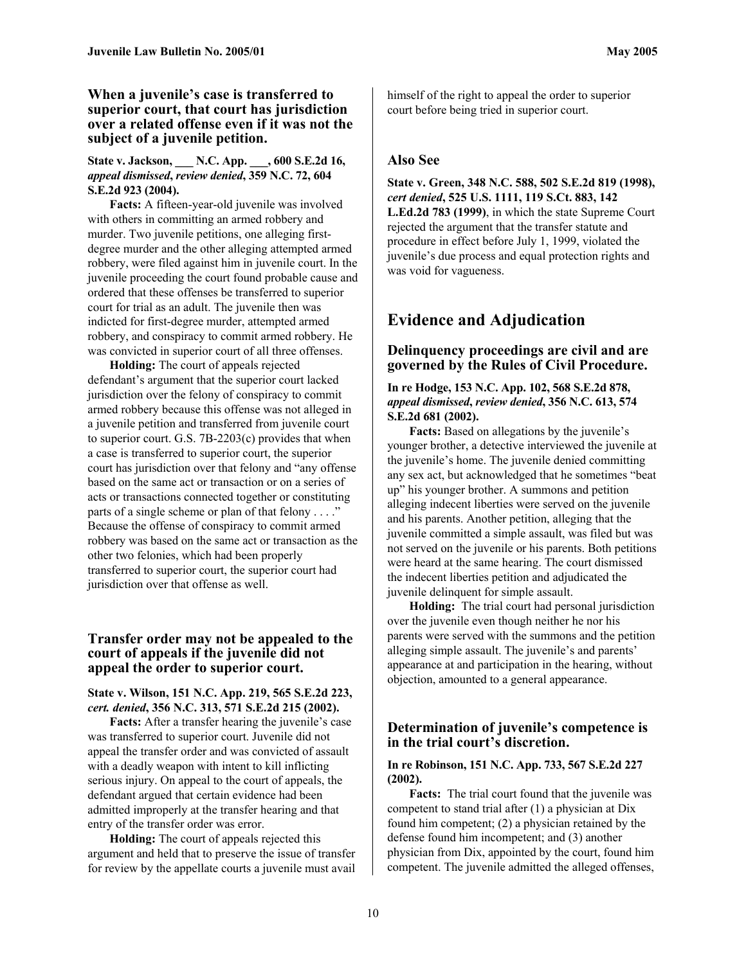# **When a juvenile's case is transferred to superior court, that court has jurisdiction over a related offense even if it was not the subject of a juvenile petition.**

### **State v. Jackson, \_\_\_ N.C. App. \_\_\_, 600 S.E.2d 16,**  *appeal dismissed***,** *review denied***, 359 N.C. 72, 604 S.E.2d 923 (2004).**

**Facts:** A fifteen-year-old juvenile was involved with others in committing an armed robbery and murder. Two juvenile petitions, one alleging firstdegree murder and the other alleging attempted armed robbery, were filed against him in juvenile court. In the juvenile proceeding the court found probable cause and ordered that these offenses be transferred to superior court for trial as an adult. The juvenile then was indicted for first-degree murder, attempted armed robbery, and conspiracy to commit armed robbery. He was convicted in superior court of all three offenses.

**Holding:** The court of appeals rejected defendant's argument that the superior court lacked jurisdiction over the felony of conspiracy to commit armed robbery because this offense was not alleged in a juvenile petition and transferred from juvenile court to superior court. G.S. 7B-2203(c) provides that when a case is transferred to superior court, the superior court has jurisdiction over that felony and "any offense based on the same act or transaction or on a series of acts or transactions connected together or constituting parts of a single scheme or plan of that felony . . . ." Because the offense of conspiracy to commit armed robbery was based on the same act or transaction as the other two felonies, which had been properly transferred to superior court, the superior court had jurisdiction over that offense as well.

# **Transfer order may not be appealed to the court of appeals if the juvenile did not appeal the order to superior court.**

#### **State v. Wilson, 151 N.C. App. 219, 565 S.E.2d 223,** *cert. denied***, 356 N.C. 313, 571 S.E.2d 215 (2002).**

**Facts:** After a transfer hearing the juvenile's case was transferred to superior court. Juvenile did not appeal the transfer order and was convicted of assault with a deadly weapon with intent to kill inflicting serious injury. On appeal to the court of appeals, the defendant argued that certain evidence had been admitted improperly at the transfer hearing and that entry of the transfer order was error.

**Holding:** The court of appeals rejected this argument and held that to preserve the issue of transfer for review by the appellate courts a juvenile must avail

himself of the right to appeal the order to superior court before being tried in superior court.

# **Also See**

**State v. Green, 348 N.C. 588, 502 S.E.2d 819 (1998),**  *cert denied***, 525 U.S. 1111, 119 S.Ct. 883, 142 L.Ed.2d 783 (1999)**, in which the state Supreme Court rejected the argument that the transfer statute and procedure in effect before July 1, 1999, violated the juvenile's due process and equal protection rights and was void for vagueness.

# **Evidence and Adjudication**

# **Delinquency proceedings are civil and are governed by the Rules of Civil Procedure.**

**In re Hodge, 153 N.C. App. 102, 568 S.E.2d 878,**  *appeal dismissed***,** *review denied***, 356 N.C. 613, 574 S.E.2d 681 (2002).** 

**Facts:** Based on allegations by the juvenile's younger brother, a detective interviewed the juvenile at the juvenile's home. The juvenile denied committing any sex act, but acknowledged that he sometimes "beat up" his younger brother. A summons and petition alleging indecent liberties were served on the juvenile and his parents. Another petition, alleging that the juvenile committed a simple assault, was filed but was not served on the juvenile or his parents. Both petitions were heard at the same hearing. The court dismissed the indecent liberties petition and adjudicated the juvenile delinquent for simple assault.

**Holding:** The trial court had personal jurisdiction over the juvenile even though neither he nor his parents were served with the summons and the petition alleging simple assault. The juvenile's and parents' appearance at and participation in the hearing, without objection, amounted to a general appearance.

# **Determination of juvenile's competence is in the trial court's discretion.**

#### **In re Robinson, 151 N.C. App. 733, 567 S.E.2d 227 (2002).**

**Facts:** The trial court found that the juvenile was competent to stand trial after (1) a physician at Dix found him competent; (2) a physician retained by the defense found him incompetent; and (3) another physician from Dix, appointed by the court, found him competent. The juvenile admitted the alleged offenses,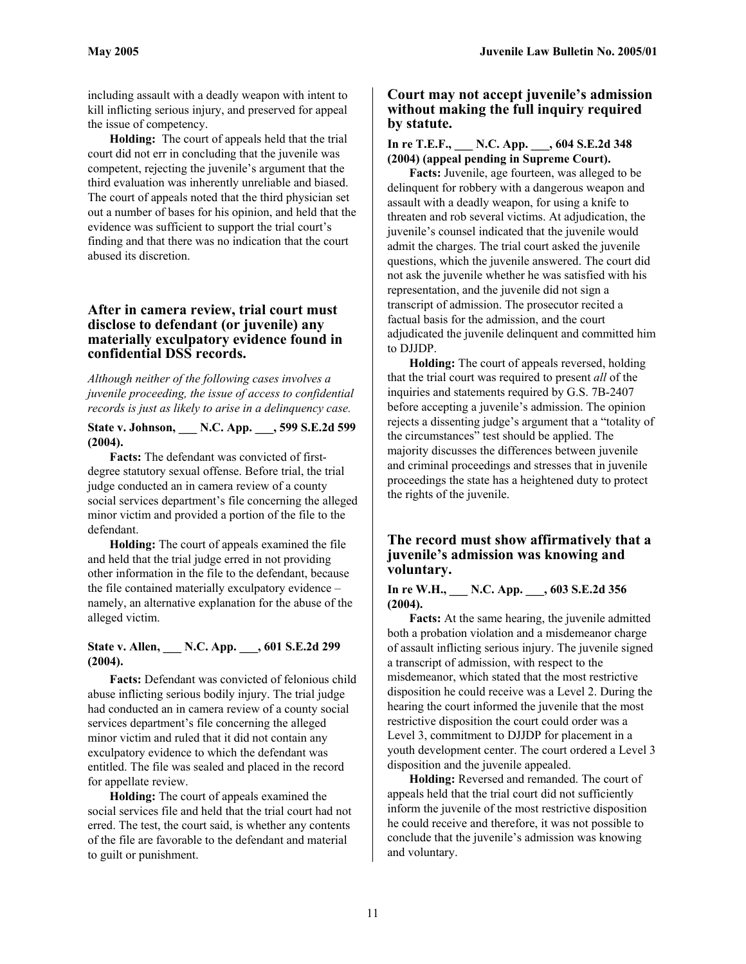including assault with a deadly weapon with intent to kill inflicting serious injury, and preserved for appeal the issue of competency.

**Holding:** The court of appeals held that the trial court did not err in concluding that the juvenile was competent, rejecting the juvenile's argument that the third evaluation was inherently unreliable and biased. The court of appeals noted that the third physician set out a number of bases for his opinion, and held that the evidence was sufficient to support the trial court's finding and that there was no indication that the court abused its discretion.

# **After in camera review, trial court must disclose to defendant (or juvenile) any materially exculpatory evidence found in confidential DSS records.**

*Although neither of the following cases involves a juvenile proceeding, the issue of access to confidential records is just as likely to arise in a delinquency case.* 

**State v. Johnson, \_\_\_ N.C. App. \_\_\_, 599 S.E.2d 599 (2004).** 

**Facts:** The defendant was convicted of firstdegree statutory sexual offense. Before trial, the trial judge conducted an in camera review of a county social services department's file concerning the alleged minor victim and provided a portion of the file to the defendant.

**Holding:** The court of appeals examined the file and held that the trial judge erred in not providing other information in the file to the defendant, because the file contained materially exculpatory evidence – namely, an alternative explanation for the abuse of the alleged victim.

# **State v. Allen, \_\_\_ N.C. App. \_\_\_, 601 S.E.2d 299 (2004).**

**Facts:** Defendant was convicted of felonious child abuse inflicting serious bodily injury. The trial judge had conducted an in camera review of a county social services department's file concerning the alleged minor victim and ruled that it did not contain any exculpatory evidence to which the defendant was entitled. The file was sealed and placed in the record for appellate review.

**Holding:** The court of appeals examined the social services file and held that the trial court had not erred. The test, the court said, is whether any contents of the file are favorable to the defendant and material to guilt or punishment.

# **Court may not accept juvenile's admission without making the full inquiry required by statute.**

# **In re T.E.F., \_\_\_ N.C. App. \_\_\_, 604 S.E.2d 348 (2004) (appeal pending in Supreme Court).**

**Facts:** Juvenile, age fourteen, was alleged to be delinquent for robbery with a dangerous weapon and assault with a deadly weapon, for using a knife to threaten and rob several victims. At adjudication, the juvenile's counsel indicated that the juvenile would admit the charges. The trial court asked the juvenile questions, which the juvenile answered. The court did not ask the juvenile whether he was satisfied with his representation, and the juvenile did not sign a transcript of admission. The prosecutor recited a factual basis for the admission, and the court adjudicated the juvenile delinquent and committed him to DJJDP.

**Holding:** The court of appeals reversed, holding that the trial court was required to present *all* of the inquiries and statements required by G.S. 7B-2407 before accepting a juvenile's admission. The opinion rejects a dissenting judge's argument that a "totality of the circumstances" test should be applied. The majority discusses the differences between juvenile and criminal proceedings and stresses that in juvenile proceedings the state has a heightened duty to protect the rights of the juvenile.

# **The record must show affirmatively that a juvenile's admission was knowing and voluntary.**

#### **In re W.H., \_\_\_ N.C. App. \_\_\_, 603 S.E.2d 356 (2004).**

**Facts:** At the same hearing, the juvenile admitted both a probation violation and a misdemeanor charge of assault inflicting serious injury. The juvenile signed a transcript of admission, with respect to the misdemeanor, which stated that the most restrictive disposition he could receive was a Level 2. During the hearing the court informed the juvenile that the most restrictive disposition the court could order was a Level 3, commitment to DJJDP for placement in a youth development center. The court ordered a Level 3 disposition and the juvenile appealed.

**Holding:** Reversed and remanded. The court of appeals held that the trial court did not sufficiently inform the juvenile of the most restrictive disposition he could receive and therefore, it was not possible to conclude that the juvenile's admission was knowing and voluntary.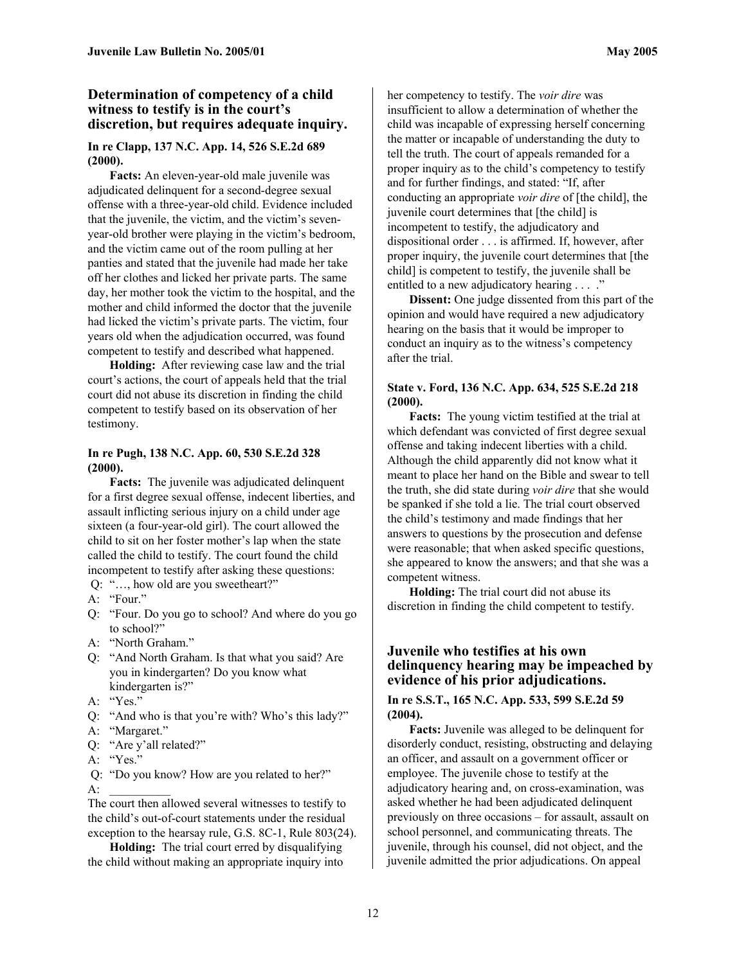#### **Determination of competency of a child witness to testify is in the court's discretion, but requires adequate inquiry.**

#### **In re Clapp, 137 N.C. App. 14, 526 S.E.2d 689 (2000).**

**Facts:** An eleven-year-old male juvenile was adjudicated delinquent for a second-degree sexual offense with a three-year-old child. Evidence included that the juvenile, the victim, and the victim's sevenyear-old brother were playing in the victim's bedroom, and the victim came out of the room pulling at her panties and stated that the juvenile had made her take off her clothes and licked her private parts. The same day, her mother took the victim to the hospital, and the mother and child informed the doctor that the juvenile had licked the victim's private parts. The victim, four years old when the adjudication occurred, was found competent to testify and described what happened.

**Holding:** After reviewing case law and the trial court's actions, the court of appeals held that the trial court did not abuse its discretion in finding the child competent to testify based on its observation of her testimony.

#### **In re Pugh, 138 N.C. App. 60, 530 S.E.2d 328 (2000).**

**Facts:** The juvenile was adjudicated delinquent for a first degree sexual offense, indecent liberties, and assault inflicting serious injury on a child under age sixteen (a four-year-old girl). The court allowed the child to sit on her foster mother's lap when the state called the child to testify. The court found the child incompetent to testify after asking these questions:

- Q: "…, how old are you sweetheart?"
- A: "Four."
- Q: "Four. Do you go to school? And where do you go to school?"
- A: "North Graham."
- Q: "And North Graham. Is that what you said? Are you in kindergarten? Do you know what kindergarten is?"
- A: "Yes."
- Q: "And who is that you're with? Who's this lady?"
- A: "Margaret."
- Q: "Are y'all related?"
- A: "Yes."
- Q: "Do you know? How are you related to her?"  $A$ :

The court then allowed several witnesses to testify to the child's out-of-court statements under the residual exception to the hearsay rule, G.S. 8C-1, Rule 803(24).

**Holding:** The trial court erred by disqualifying the child without making an appropriate inquiry into her competency to testify. The *voir dire* was insufficient to allow a determination of whether the child was incapable of expressing herself concerning the matter or incapable of understanding the duty to tell the truth. The court of appeals remanded for a proper inquiry as to the child's competency to testify and for further findings, and stated: "If, after conducting an appropriate *voir dire* of [the child], the juvenile court determines that [the child] is incompetent to testify, the adjudicatory and dispositional order . . . is affirmed. If, however, after proper inquiry, the juvenile court determines that [the child] is competent to testify, the juvenile shall be entitled to a new adjudicatory hearing . . . ."

**Dissent:** One judge dissented from this part of the opinion and would have required a new adjudicatory hearing on the basis that it would be improper to conduct an inquiry as to the witness's competency after the trial.

#### **State v. Ford, 136 N.C. App. 634, 525 S.E.2d 218 (2000).**

**Facts:** The young victim testified at the trial at which defendant was convicted of first degree sexual offense and taking indecent liberties with a child. Although the child apparently did not know what it meant to place her hand on the Bible and swear to tell the truth, she did state during *voir dire* that she would be spanked if she told a lie. The trial court observed the child's testimony and made findings that her answers to questions by the prosecution and defense were reasonable; that when asked specific questions, she appeared to know the answers; and that she was a competent witness.

**Holding:** The trial court did not abuse its discretion in finding the child competent to testify.

#### **Juvenile who testifies at his own delinquency hearing may be impeached by evidence of his prior adjudications.**

#### **In re S.S.T., 165 N.C. App. 533, 599 S.E.2d 59 (2004).**

**Facts:** Juvenile was alleged to be delinquent for disorderly conduct, resisting, obstructing and delaying an officer, and assault on a government officer or employee. The juvenile chose to testify at the adjudicatory hearing and, on cross-examination, was asked whether he had been adjudicated delinquent previously on three occasions – for assault, assault on school personnel, and communicating threats. The juvenile, through his counsel, did not object, and the juvenile admitted the prior adjudications. On appeal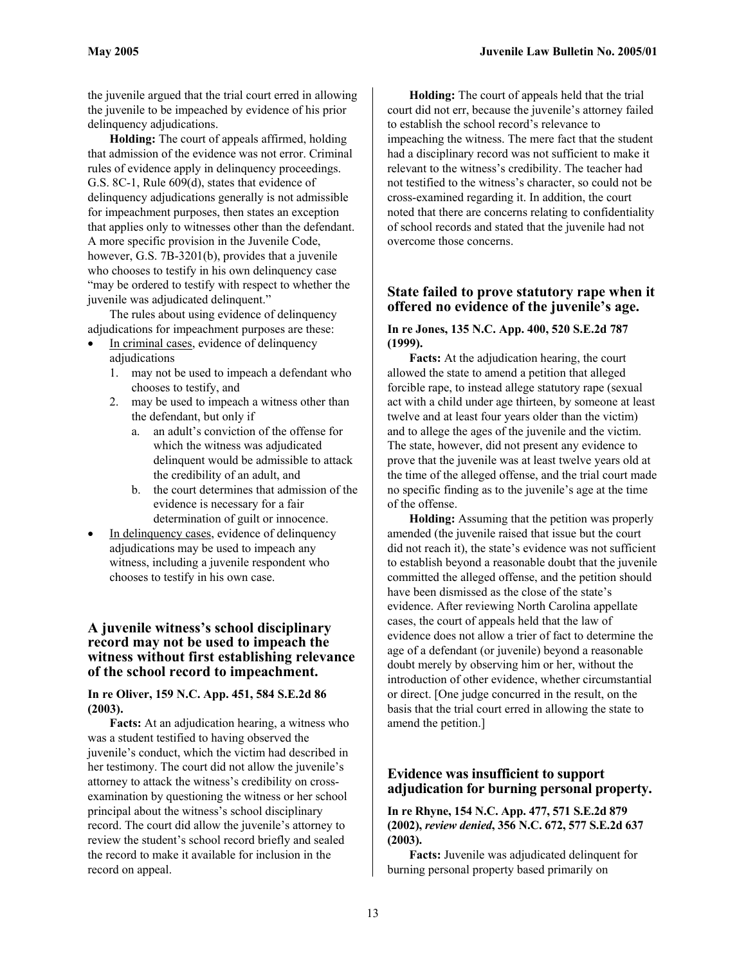the juvenile argued that the trial court erred in allowing the juvenile to be impeached by evidence of his prior delinquency adjudications.

**Holding:** The court of appeals affirmed, holding that admission of the evidence was not error. Criminal rules of evidence apply in delinquency proceedings. G.S. 8C-1, Rule 609(d), states that evidence of delinquency adjudications generally is not admissible for impeachment purposes, then states an exception that applies only to witnesses other than the defendant. A more specific provision in the Juvenile Code, however, G.S. 7B-3201(b), provides that a juvenile who chooses to testify in his own delinquency case "may be ordered to testify with respect to whether the juvenile was adjudicated delinquent."

The rules about using evidence of delinquency adjudications for impeachment purposes are these:

- In criminal cases, evidence of delinquency adjudications
	- 1. may not be used to impeach a defendant who chooses to testify, and
	- 2. may be used to impeach a witness other than the defendant, but only if
		- a. an adult's conviction of the offense for which the witness was adjudicated delinquent would be admissible to attack the credibility of an adult, and
		- b. the court determines that admission of the evidence is necessary for a fair determination of guilt or innocence.
- In delinquency cases, evidence of delinquency adjudications may be used to impeach any witness, including a juvenile respondent who chooses to testify in his own case.

# **A juvenile witness's school disciplinary record may not be used to impeach the witness without first establishing relevance of the school record to impeachment.**

#### **In re Oliver, 159 N.C. App. 451, 584 S.E.2d 86 (2003).**

**Facts:** At an adjudication hearing, a witness who was a student testified to having observed the juvenile's conduct, which the victim had described in her testimony. The court did not allow the juvenile's attorney to attack the witness's credibility on crossexamination by questioning the witness or her school principal about the witness's school disciplinary record. The court did allow the juvenile's attorney to review the student's school record briefly and sealed the record to make it available for inclusion in the record on appeal.

**Holding:** The court of appeals held that the trial court did not err, because the juvenile's attorney failed to establish the school record's relevance to impeaching the witness. The mere fact that the student had a disciplinary record was not sufficient to make it relevant to the witness's credibility. The teacher had not testified to the witness's character, so could not be cross-examined regarding it. In addition, the court noted that there are concerns relating to confidentiality of school records and stated that the juvenile had not overcome those concerns.

# **State failed to prove statutory rape when it offered no evidence of the juvenile's age.**

#### **In re Jones, 135 N.C. App. 400, 520 S.E.2d 787 (1999).**

**Facts:** At the adjudication hearing, the court allowed the state to amend a petition that alleged forcible rape, to instead allege statutory rape (sexual act with a child under age thirteen, by someone at least twelve and at least four years older than the victim) and to allege the ages of the juvenile and the victim. The state, however, did not present any evidence to prove that the juvenile was at least twelve years old at the time of the alleged offense, and the trial court made no specific finding as to the juvenile's age at the time of the offense.

**Holding:** Assuming that the petition was properly amended (the juvenile raised that issue but the court did not reach it), the state's evidence was not sufficient to establish beyond a reasonable doubt that the juvenile committed the alleged offense, and the petition should have been dismissed as the close of the state's evidence. After reviewing North Carolina appellate cases, the court of appeals held that the law of evidence does not allow a trier of fact to determine the age of a defendant (or juvenile) beyond a reasonable doubt merely by observing him or her, without the introduction of other evidence, whether circumstantial or direct. [One judge concurred in the result, on the basis that the trial court erred in allowing the state to amend the petition.]

# **Evidence was insufficient to support adjudication for burning personal property.**

**In re Rhyne, 154 N.C. App. 477, 571 S.E.2d 879 (2002),** *review denied***, 356 N.C. 672, 577 S.E.2d 637 (2003).** 

**Facts:** Juvenile was adjudicated delinquent for burning personal property based primarily on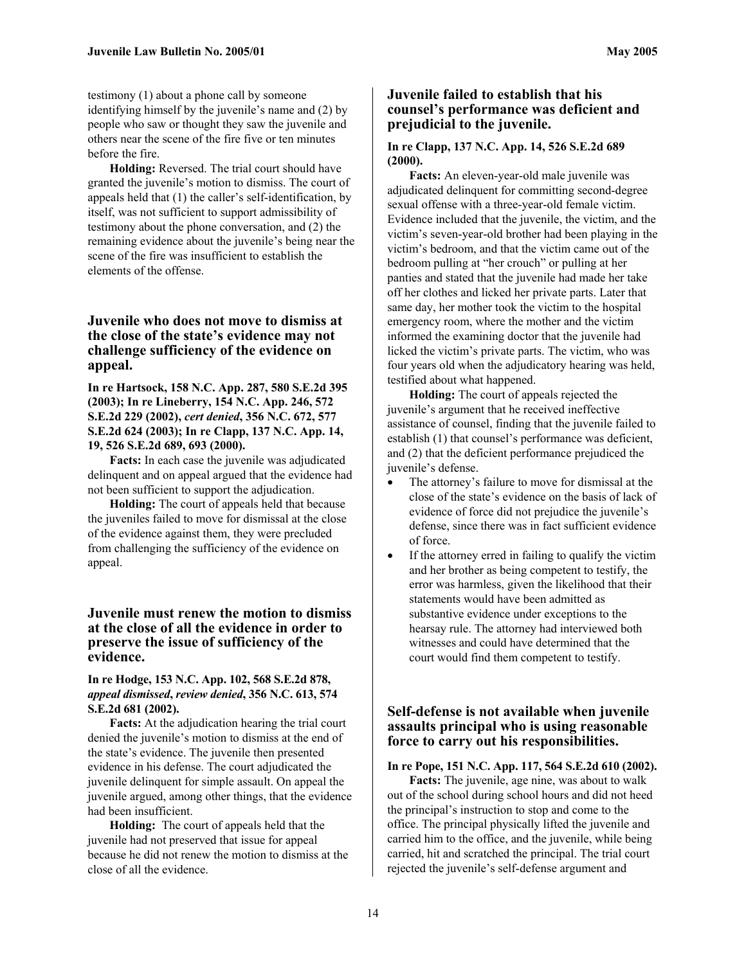testimony (1) about a phone call by someone identifying himself by the juvenile's name and (2) by people who saw or thought they saw the juvenile and others near the scene of the fire five or ten minutes before the fire.

**Holding:** Reversed. The trial court should have granted the juvenile's motion to dismiss. The court of appeals held that (1) the caller's self-identification, by itself, was not sufficient to support admissibility of testimony about the phone conversation, and (2) the remaining evidence about the juvenile's being near the scene of the fire was insufficient to establish the elements of the offense.

# **Juvenile who does not move to dismiss at the close of the state's evidence may not challenge sufficiency of the evidence on appeal.**

**In re Hartsock, 158 N.C. App. 287, 580 S.E.2d 395 (2003); In re Lineberry, 154 N.C. App. 246, 572 S.E.2d 229 (2002),** *cert denied***, 356 N.C. 672, 577 S.E.2d 624 (2003); In re Clapp, 137 N.C. App. 14, 19, 526 S.E.2d 689, 693 (2000).**

**Facts:** In each case the juvenile was adjudicated delinquent and on appeal argued that the evidence had not been sufficient to support the adjudication.

**Holding:** The court of appeals held that because the juveniles failed to move for dismissal at the close of the evidence against them, they were precluded from challenging the sufficiency of the evidence on appeal.

#### **Juvenile must renew the motion to dismiss at the close of all the evidence in order to preserve the issue of sufficiency of the evidence.**

#### **In re Hodge, 153 N.C. App. 102, 568 S.E.2d 878,**  *appeal dismissed***,** *review denied***, 356 N.C. 613, 574 S.E.2d 681 (2002).**

**Facts:** At the adjudication hearing the trial court denied the juvenile's motion to dismiss at the end of the state's evidence. The juvenile then presented evidence in his defense. The court adjudicated the juvenile delinquent for simple assault. On appeal the juvenile argued, among other things, that the evidence had been insufficient.

**Holding:** The court of appeals held that the juvenile had not preserved that issue for appeal because he did not renew the motion to dismiss at the close of all the evidence.

#### **Juvenile failed to establish that his counsel's performance was deficient and prejudicial to the juvenile.**

#### **In re Clapp, 137 N.C. App. 14, 526 S.E.2d 689 (2000).**

**Facts:** An eleven-year-old male juvenile was adjudicated delinquent for committing second-degree sexual offense with a three-year-old female victim. Evidence included that the juvenile, the victim, and the victim's seven-year-old brother had been playing in the victim's bedroom, and that the victim came out of the bedroom pulling at "her crouch" or pulling at her panties and stated that the juvenile had made her take off her clothes and licked her private parts. Later that same day, her mother took the victim to the hospital emergency room, where the mother and the victim informed the examining doctor that the juvenile had licked the victim's private parts. The victim, who was four years old when the adjudicatory hearing was held, testified about what happened.

**Holding:** The court of appeals rejected the juvenile's argument that he received ineffective assistance of counsel, finding that the juvenile failed to establish (1) that counsel's performance was deficient, and (2) that the deficient performance prejudiced the juvenile's defense.

- The attorney's failure to move for dismissal at the close of the state's evidence on the basis of lack of evidence of force did not prejudice the juvenile's defense, since there was in fact sufficient evidence of force.
- If the attorney erred in failing to qualify the victim and her brother as being competent to testify, the error was harmless, given the likelihood that their statements would have been admitted as substantive evidence under exceptions to the hearsay rule. The attorney had interviewed both witnesses and could have determined that the court would find them competent to testify.

# **Self-defense is not available when juvenile assaults principal who is using reasonable force to carry out his responsibilities.**

#### **In re Pope, 151 N.C. App. 117, 564 S.E.2d 610 (2002).**

**Facts:** The juvenile, age nine, was about to walk out of the school during school hours and did not heed the principal's instruction to stop and come to the office. The principal physically lifted the juvenile and carried him to the office, and the juvenile, while being carried, hit and scratched the principal. The trial court rejected the juvenile's self-defense argument and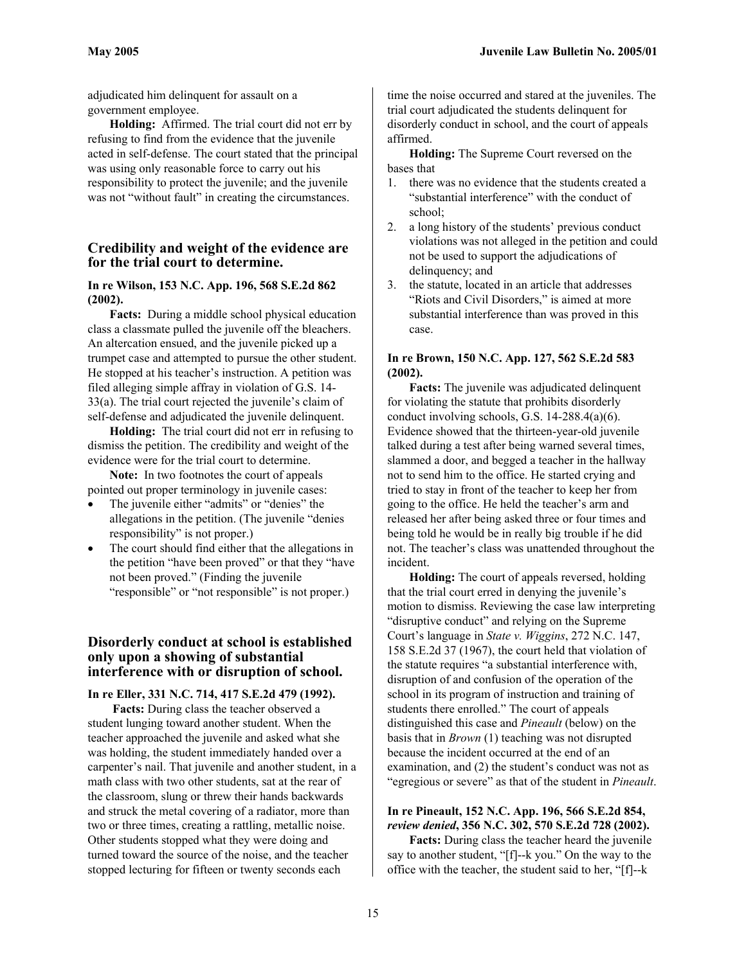adjudicated him delinquent for assault on a government employee.

**Holding:** Affirmed. The trial court did not err by refusing to find from the evidence that the juvenile acted in self-defense. The court stated that the principal was using only reasonable force to carry out his responsibility to protect the juvenile; and the juvenile was not "without fault" in creating the circumstances.

# **Credibility and weight of the evidence are for the trial court to determine.**

#### **In re Wilson, 153 N.C. App. 196, 568 S.E.2d 862 (2002).**

**Facts:** During a middle school physical education class a classmate pulled the juvenile off the bleachers. An altercation ensued, and the juvenile picked up a trumpet case and attempted to pursue the other student. He stopped at his teacher's instruction. A petition was filed alleging simple affray in violation of G.S. 14- 33(a). The trial court rejected the juvenile's claim of self-defense and adjudicated the juvenile delinquent.

**Holding:** The trial court did not err in refusing to dismiss the petition. The credibility and weight of the evidence were for the trial court to determine.

**Note:** In two footnotes the court of appeals pointed out proper terminology in juvenile cases:

- The juvenile either "admits" or "denies" the allegations in the petition. (The juvenile "denies responsibility" is not proper.)
- The court should find either that the allegations in the petition "have been proved" or that they "have not been proved." (Finding the juvenile "responsible" or "not responsible" is not proper.)

### **Disorderly conduct at school is established only upon a showing of substantial interference with or disruption of school.**

**In re Eller, 331 N.C. 714, 417 S.E.2d 479 (1992).**

 **Facts:** During class the teacher observed a student lunging toward another student. When the teacher approached the juvenile and asked what she was holding, the student immediately handed over a carpenter's nail. That juvenile and another student, in a math class with two other students, sat at the rear of the classroom, slung or threw their hands backwards and struck the metal covering of a radiator, more than two or three times, creating a rattling, metallic noise. Other students stopped what they were doing and turned toward the source of the noise, and the teacher stopped lecturing for fifteen or twenty seconds each

time the noise occurred and stared at the juveniles. The trial court adjudicated the students delinquent for disorderly conduct in school, and the court of appeals affirmed.

**Holding:** The Supreme Court reversed on the bases that

- 1. there was no evidence that the students created a "substantial interference" with the conduct of school;
- 2. a long history of the students' previous conduct violations was not alleged in the petition and could not be used to support the adjudications of delinquency; and
- 3. the statute, located in an article that addresses "Riots and Civil Disorders," is aimed at more substantial interference than was proved in this case.

#### **In re Brown, 150 N.C. App. 127, 562 S.E.2d 583 (2002).**

**Facts:** The juvenile was adjudicated delinquent for violating the statute that prohibits disorderly conduct involving schools, G.S. 14-288.4(a)(6). Evidence showed that the thirteen-year-old juvenile talked during a test after being warned several times, slammed a door, and begged a teacher in the hallway not to send him to the office. He started crying and tried to stay in front of the teacher to keep her from going to the office. He held the teacher's arm and released her after being asked three or four times and being told he would be in really big trouble if he did not. The teacher's class was unattended throughout the incident.

**Holding:** The court of appeals reversed, holding that the trial court erred in denying the juvenile's motion to dismiss. Reviewing the case law interpreting "disruptive conduct" and relying on the Supreme Court's language in *State v. Wiggins*, 272 N.C. 147, 158 S.E.2d 37 (1967), the court held that violation of the statute requires "a substantial interference with, disruption of and confusion of the operation of the school in its program of instruction and training of students there enrolled." The court of appeals distinguished this case and *Pineault* (below) on the basis that in *Brown* (1) teaching was not disrupted because the incident occurred at the end of an examination, and (2) the student's conduct was not as "egregious or severe" as that of the student in *Pineault*.

# **In re Pineault, 152 N.C. App. 196, 566 S.E.2d 854,**  *review denied***, 356 N.C. 302, 570 S.E.2d 728 (2002).**

**Facts:** During class the teacher heard the juvenile say to another student, "[f]--k you." On the way to the office with the teacher, the student said to her, "[f]--k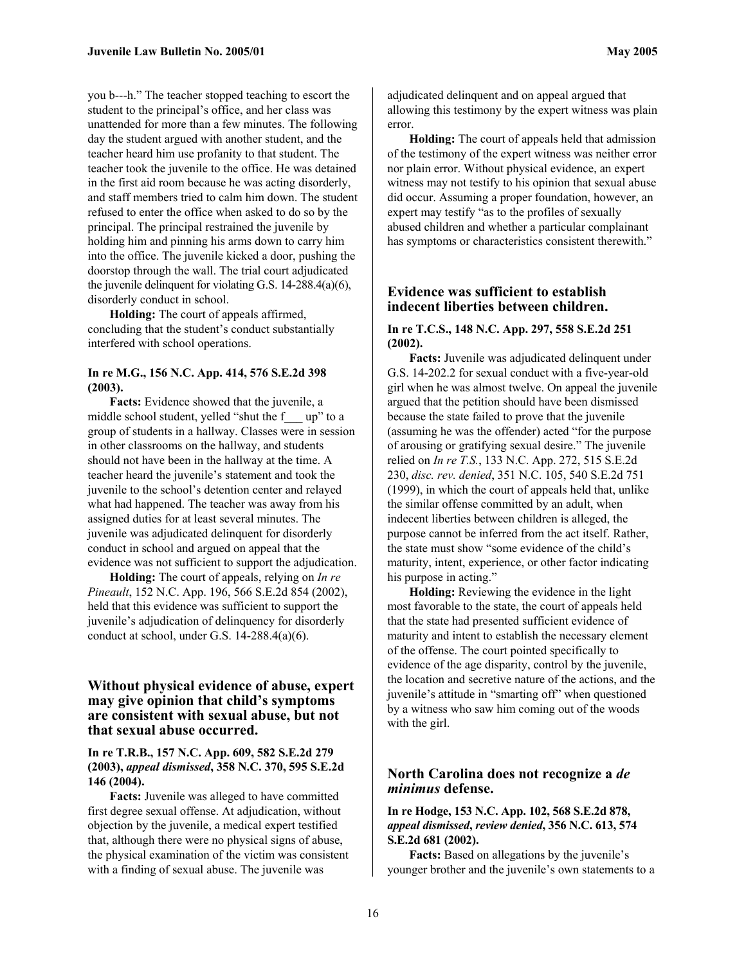you b---h." The teacher stopped teaching to escort the student to the principal's office, and her class was unattended for more than a few minutes. The following day the student argued with another student, and the teacher heard him use profanity to that student. The teacher took the juvenile to the office. He was detained in the first aid room because he was acting disorderly, and staff members tried to calm him down. The student refused to enter the office when asked to do so by the principal. The principal restrained the juvenile by holding him and pinning his arms down to carry him into the office. The juvenile kicked a door, pushing the doorstop through the wall. The trial court adjudicated the juvenile delinquent for violating G.S. 14-288.4(a)(6), disorderly conduct in school.

**Holding:** The court of appeals affirmed, concluding that the student's conduct substantially interfered with school operations.

#### **In re M.G., 156 N.C. App. 414, 576 S.E.2d 398 (2003).**

**Facts:** Evidence showed that the juvenile, a middle school student, yelled "shut the f\_\_\_ up" to a group of students in a hallway. Classes were in session in other classrooms on the hallway, and students should not have been in the hallway at the time. A teacher heard the juvenile's statement and took the juvenile to the school's detention center and relayed what had happened. The teacher was away from his assigned duties for at least several minutes. The juvenile was adjudicated delinquent for disorderly conduct in school and argued on appeal that the evidence was not sufficient to support the adjudication.

**Holding:** The court of appeals, relying on *In re Pineault*, 152 N.C. App. 196, 566 S.E.2d 854 (2002), held that this evidence was sufficient to support the juvenile's adjudication of delinquency for disorderly conduct at school, under G.S. 14-288.4(a)(6).

# **Without physical evidence of abuse, expert may give opinion that child's symptoms are consistent with sexual abuse, but not that sexual abuse occurred.**

#### **In re T.R.B., 157 N.C. App. 609, 582 S.E.2d 279 (2003),** *appeal dismissed***, 358 N.C. 370, 595 S.E.2d 146 (2004).**

**Facts:** Juvenile was alleged to have committed first degree sexual offense. At adjudication, without objection by the juvenile, a medical expert testified that, although there were no physical signs of abuse, the physical examination of the victim was consistent with a finding of sexual abuse. The juvenile was

adjudicated delinquent and on appeal argued that allowing this testimony by the expert witness was plain error.

**Holding:** The court of appeals held that admission of the testimony of the expert witness was neither error nor plain error. Without physical evidence, an expert witness may not testify to his opinion that sexual abuse did occur. Assuming a proper foundation, however, an expert may testify "as to the profiles of sexually abused children and whether a particular complainant has symptoms or characteristics consistent therewith."

#### **Evidence was sufficient to establish indecent liberties between children.**

#### **In re T.C.S., 148 N.C. App. 297, 558 S.E.2d 251 (2002).**

**Facts:** Juvenile was adjudicated delinquent under G.S. 14-202.2 for sexual conduct with a five-year-old girl when he was almost twelve. On appeal the juvenile argued that the petition should have been dismissed because the state failed to prove that the juvenile (assuming he was the offender) acted "for the purpose of arousing or gratifying sexual desire." The juvenile relied on *In re T.S.*, 133 N.C. App. 272, 515 S.E.2d 230, *disc. rev. denied*, 351 N.C. 105, 540 S.E.2d 751 (1999), in which the court of appeals held that, unlike the similar offense committed by an adult, when indecent liberties between children is alleged, the purpose cannot be inferred from the act itself. Rather, the state must show "some evidence of the child's maturity, intent, experience, or other factor indicating his purpose in acting."

**Holding:** Reviewing the evidence in the light most favorable to the state, the court of appeals held that the state had presented sufficient evidence of maturity and intent to establish the necessary element of the offense. The court pointed specifically to evidence of the age disparity, control by the juvenile, the location and secretive nature of the actions, and the juvenile's attitude in "smarting off" when questioned by a witness who saw him coming out of the woods with the girl.

# **North Carolina does not recognize a** *de minimus* **defense.**

#### **In re Hodge, 153 N.C. App. 102, 568 S.E.2d 878,**  *appeal dismissed***,** *review denied***, 356 N.C. 613, 574 S.E.2d 681 (2002).**

**Facts:** Based on allegations by the juvenile's younger brother and the juvenile's own statements to a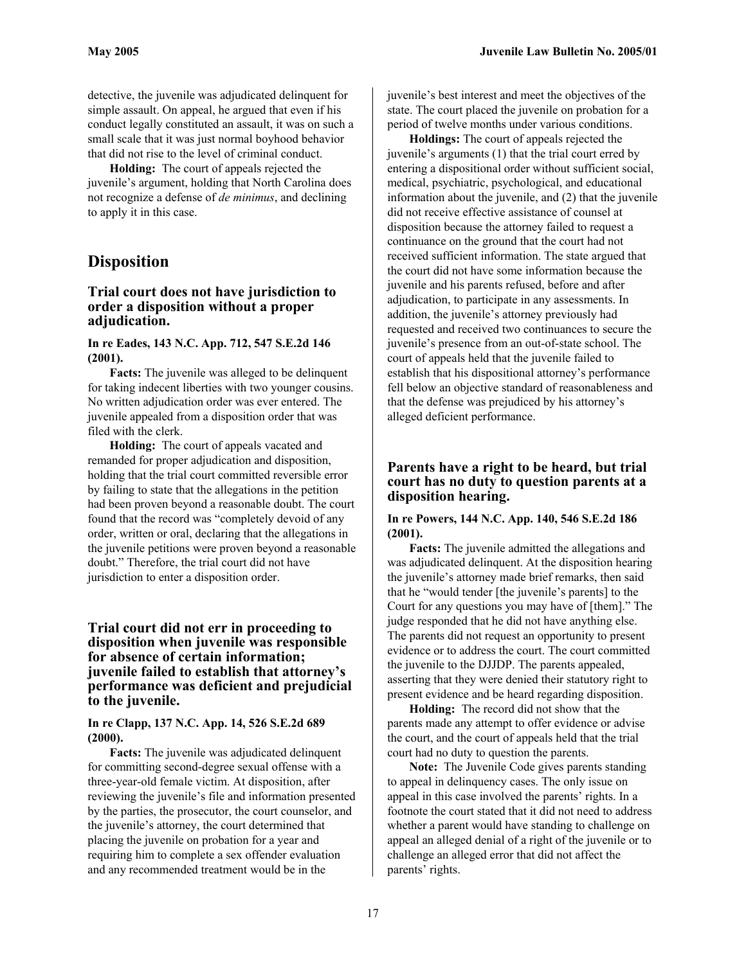detective, the juvenile was adjudicated delinquent for simple assault. On appeal, he argued that even if his conduct legally constituted an assault, it was on such a small scale that it was just normal boyhood behavior that did not rise to the level of criminal conduct.

**Holding:** The court of appeals rejected the juvenile's argument, holding that North Carolina does not recognize a defense of *de minimus*, and declining to apply it in this case.

# **Disposition**

#### **Trial court does not have jurisdiction to order a disposition without a proper adjudication.**

#### **In re Eades, 143 N.C. App. 712, 547 S.E.2d 146 (2001).**

**Facts:** The juvenile was alleged to be delinquent for taking indecent liberties with two younger cousins. No written adjudication order was ever entered. The juvenile appealed from a disposition order that was filed with the clerk.

**Holding:** The court of appeals vacated and remanded for proper adjudication and disposition, holding that the trial court committed reversible error by failing to state that the allegations in the petition had been proven beyond a reasonable doubt. The court found that the record was "completely devoid of any order, written or oral, declaring that the allegations in the juvenile petitions were proven beyond a reasonable doubt." Therefore, the trial court did not have jurisdiction to enter a disposition order.

# **Trial court did not err in proceeding to disposition when juvenile was responsible for absence of certain information; juvenile failed to establish that attorney's performance was deficient and prejudicial to the juvenile.**

#### **In re Clapp, 137 N.C. App. 14, 526 S.E.2d 689 (2000).**

**Facts:** The juvenile was adjudicated delinquent for committing second-degree sexual offense with a three-year-old female victim. At disposition, after reviewing the juvenile's file and information presented by the parties, the prosecutor, the court counselor, and the juvenile's attorney, the court determined that placing the juvenile on probation for a year and requiring him to complete a sex offender evaluation and any recommended treatment would be in the

juvenile's best interest and meet the objectives of the state. The court placed the juvenile on probation for a period of twelve months under various conditions.

**Holdings:** The court of appeals rejected the juvenile's arguments (1) that the trial court erred by entering a dispositional order without sufficient social, medical, psychiatric, psychological, and educational information about the juvenile, and (2) that the juvenile did not receive effective assistance of counsel at disposition because the attorney failed to request a continuance on the ground that the court had not received sufficient information. The state argued that the court did not have some information because the juvenile and his parents refused, before and after adjudication, to participate in any assessments. In addition, the juvenile's attorney previously had requested and received two continuances to secure the juvenile's presence from an out-of-state school. The court of appeals held that the juvenile failed to establish that his dispositional attorney's performance fell below an objective standard of reasonableness and that the defense was prejudiced by his attorney's alleged deficient performance.

### **Parents have a right to be heard, but trial court has no duty to question parents at a disposition hearing.**

#### **In re Powers, 144 N.C. App. 140, 546 S.E.2d 186 (2001).**

**Facts:** The juvenile admitted the allegations and was adjudicated delinquent. At the disposition hearing the juvenile's attorney made brief remarks, then said that he "would tender [the juvenile's parents] to the Court for any questions you may have of [them]." The judge responded that he did not have anything else. The parents did not request an opportunity to present evidence or to address the court. The court committed the juvenile to the DJJDP. The parents appealed, asserting that they were denied their statutory right to present evidence and be heard regarding disposition.

**Holding:** The record did not show that the parents made any attempt to offer evidence or advise the court, and the court of appeals held that the trial court had no duty to question the parents.

**Note:** The Juvenile Code gives parents standing to appeal in delinquency cases. The only issue on appeal in this case involved the parents' rights. In a footnote the court stated that it did not need to address whether a parent would have standing to challenge on appeal an alleged denial of a right of the juvenile or to challenge an alleged error that did not affect the parents' rights.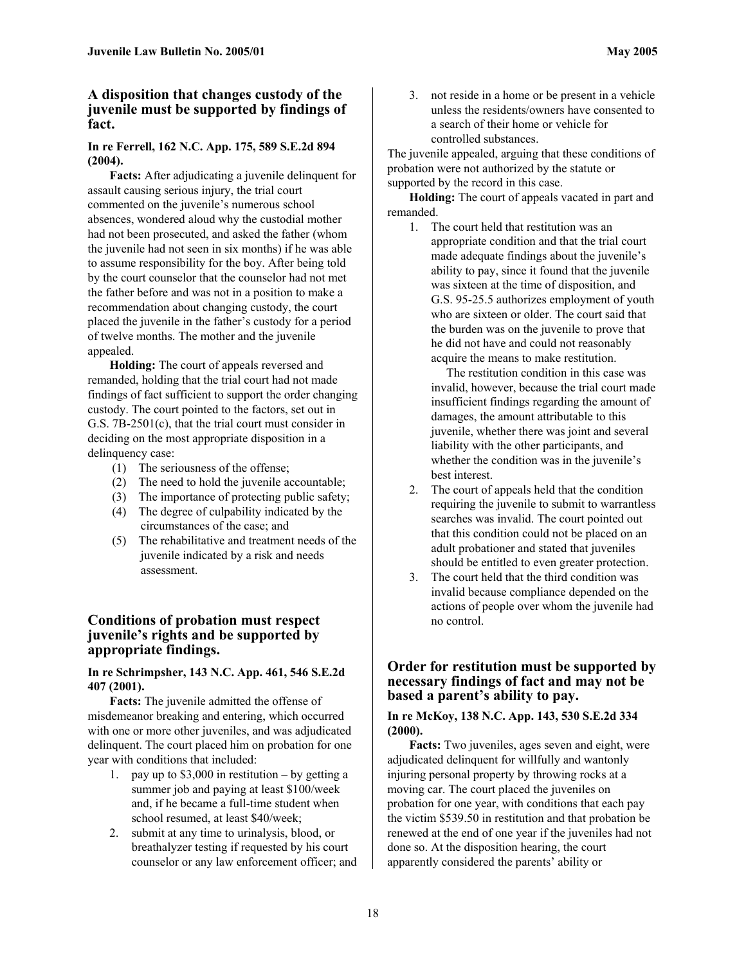# **A disposition that changes custody of the juvenile must be supported by findings of fact.**

#### **In re Ferrell, 162 N.C. App. 175, 589 S.E.2d 894 (2004).**

**Facts:** After adjudicating a juvenile delinquent for assault causing serious injury, the trial court commented on the juvenile's numerous school absences, wondered aloud why the custodial mother had not been prosecuted, and asked the father (whom the juvenile had not seen in six months) if he was able to assume responsibility for the boy. After being told by the court counselor that the counselor had not met the father before and was not in a position to make a recommendation about changing custody, the court placed the juvenile in the father's custody for a period of twelve months. The mother and the juvenile appealed.

**Holding:** The court of appeals reversed and remanded, holding that the trial court had not made findings of fact sufficient to support the order changing custody. The court pointed to the factors, set out in G.S. 7B-2501(c), that the trial court must consider in deciding on the most appropriate disposition in a delinquency case:

- (1) The seriousness of the offense;
- (2) The need to hold the juvenile accountable;
- (3) The importance of protecting public safety;
- (4) The degree of culpability indicated by the circumstances of the case; and
- (5) The rehabilitative and treatment needs of the juvenile indicated by a risk and needs assessment.

# **Conditions of probation must respect juvenile's rights and be supported by appropriate findings.**

# **In re Schrimpsher, 143 N.C. App. 461, 546 S.E.2d 407 (2001).**

**Facts:** The juvenile admitted the offense of misdemeanor breaking and entering, which occurred with one or more other juveniles, and was adjudicated delinquent. The court placed him on probation for one year with conditions that included:

- 1. pay up to \$3,000 in restitution by getting a summer job and paying at least \$100/week and, if he became a full-time student when school resumed, at least \$40/week;
- 2. submit at any time to urinalysis, blood, or breathalyzer testing if requested by his court counselor or any law enforcement officer; and

3. not reside in a home or be present in a vehicle unless the residents/owners have consented to a search of their home or vehicle for controlled substances.

The juvenile appealed, arguing that these conditions of probation were not authorized by the statute or supported by the record in this case.

**Holding:** The court of appeals vacated in part and remanded.

1. The court held that restitution was an appropriate condition and that the trial court made adequate findings about the juvenile's ability to pay, since it found that the juvenile was sixteen at the time of disposition, and G.S. 95-25.5 authorizes employment of youth who are sixteen or older. The court said that the burden was on the juvenile to prove that he did not have and could not reasonably acquire the means to make restitution.

 The restitution condition in this case was invalid, however, because the trial court made insufficient findings regarding the amount of damages, the amount attributable to this juvenile, whether there was joint and several liability with the other participants, and whether the condition was in the juvenile's best interest.

- 2. The court of appeals held that the condition requiring the juvenile to submit to warrantless searches was invalid. The court pointed out that this condition could not be placed on an adult probationer and stated that juveniles should be entitled to even greater protection.
- 3. The court held that the third condition was invalid because compliance depended on the actions of people over whom the juvenile had no control.

# **Order for restitution must be supported by necessary findings of fact and may not be based a parent's ability to pay.**

# **In re McKoy, 138 N.C. App. 143, 530 S.E.2d 334 (2000).**

**Facts:** Two juveniles, ages seven and eight, were adjudicated delinquent for willfully and wantonly injuring personal property by throwing rocks at a moving car. The court placed the juveniles on probation for one year, with conditions that each pay the victim \$539.50 in restitution and that probation be renewed at the end of one year if the juveniles had not done so. At the disposition hearing, the court apparently considered the parents' ability or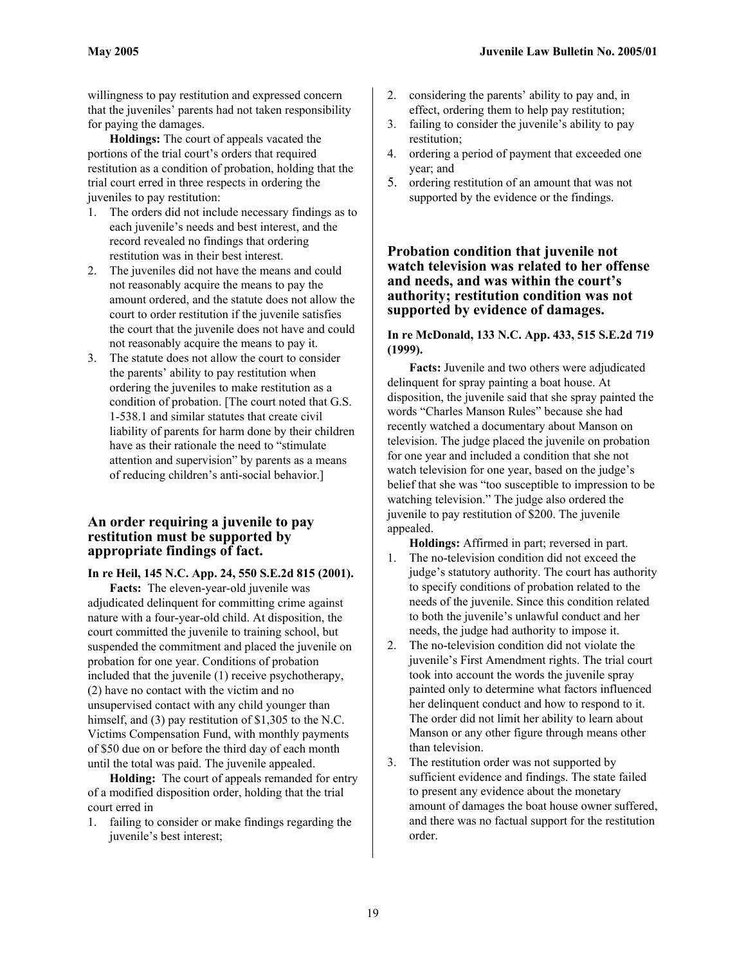willingness to pay restitution and expressed concern that the juveniles' parents had not taken responsibility for paying the damages.

**Holdings:** The court of appeals vacated the portions of the trial court's orders that required restitution as a condition of probation, holding that the trial court erred in three respects in ordering the juveniles to pay restitution:

- 1. The orders did not include necessary findings as to each juvenile's needs and best interest, and the record revealed no findings that ordering restitution was in their best interest.
- 2. The juveniles did not have the means and could not reasonably acquire the means to pay the amount ordered, and the statute does not allow the court to order restitution if the juvenile satisfies the court that the juvenile does not have and could not reasonably acquire the means to pay it.
- 3. The statute does not allow the court to consider the parents' ability to pay restitution when ordering the juveniles to make restitution as a condition of probation. [The court noted that G.S. 1-538.1 and similar statutes that create civil liability of parents for harm done by their children have as their rationale the need to "stimulate attention and supervision" by parents as a means of reducing children's anti-social behavior.]

# **An order requiring a juvenile to pay restitution must be supported by appropriate findings of fact.**

**In re Heil, 145 N.C. App. 24, 550 S.E.2d 815 (2001).**

**Facts:** The eleven-year-old juvenile was adjudicated delinquent for committing crime against nature with a four-year-old child. At disposition, the court committed the juvenile to training school, but suspended the commitment and placed the juvenile on probation for one year. Conditions of probation included that the juvenile (1) receive psychotherapy, (2) have no contact with the victim and no unsupervised contact with any child younger than himself, and (3) pay restitution of \$1,305 to the N.C. Victims Compensation Fund, with monthly payments of \$50 due on or before the third day of each month until the total was paid. The juvenile appealed.

**Holding:** The court of appeals remanded for entry of a modified disposition order, holding that the trial court erred in

1. failing to consider or make findings regarding the juvenile's best interest;

- 2. considering the parents' ability to pay and, in effect, ordering them to help pay restitution;
- 3. failing to consider the juvenile's ability to pay restitution;
- 4. ordering a period of payment that exceeded one year; and
- 5. ordering restitution of an amount that was not supported by the evidence or the findings.

**Probation condition that juvenile not watch television was related to her offense and needs, and was within the court's authority; restitution condition was not supported by evidence of damages.** 

#### **In re McDonald, 133 N.C. App. 433, 515 S.E.2d 719 (1999).**

**Facts:** Juvenile and two others were adjudicated delinquent for spray painting a boat house. At disposition, the juvenile said that she spray painted the words "Charles Manson Rules" because she had recently watched a documentary about Manson on television. The judge placed the juvenile on probation for one year and included a condition that she not watch television for one year, based on the judge's belief that she was "too susceptible to impression to be watching television." The judge also ordered the juvenile to pay restitution of \$200. The juvenile appealed.

- **Holdings:** Affirmed in part; reversed in part. 1. The no-television condition did not exceed the judge's statutory authority. The court has authority to specify conditions of probation related to the needs of the juvenile. Since this condition related to both the juvenile's unlawful conduct and her needs, the judge had authority to impose it.
- 2. The no-television condition did not violate the juvenile's First Amendment rights. The trial court took into account the words the juvenile spray painted only to determine what factors influenced her delinquent conduct and how to respond to it. The order did not limit her ability to learn about Manson or any other figure through means other than television.
- 3. The restitution order was not supported by sufficient evidence and findings. The state failed to present any evidence about the monetary amount of damages the boat house owner suffered, and there was no factual support for the restitution order.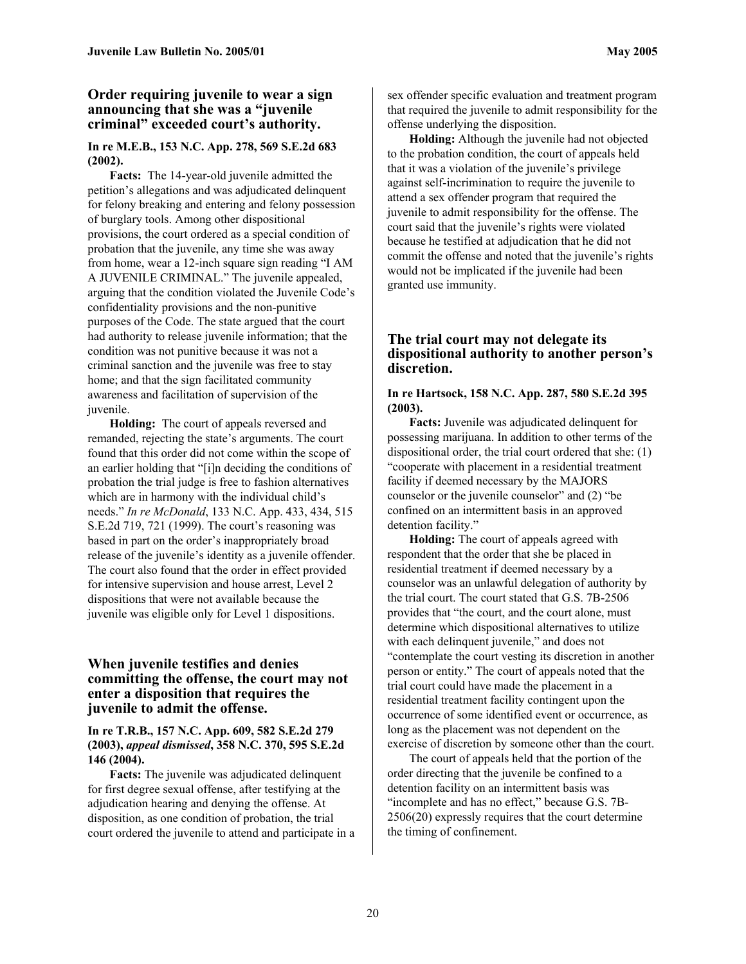# **Order requiring juvenile to wear a sign announcing that she was a "juvenile criminal" exceeded court's authority.**

#### **In re M.E.B., 153 N.C. App. 278, 569 S.E.2d 683 (2002).**

**Facts:** The 14-year-old juvenile admitted the petition's allegations and was adjudicated delinquent for felony breaking and entering and felony possession of burglary tools. Among other dispositional provisions, the court ordered as a special condition of probation that the juvenile, any time she was away from home, wear a 12-inch square sign reading "I AM A JUVENILE CRIMINAL." The juvenile appealed, arguing that the condition violated the Juvenile Code's confidentiality provisions and the non-punitive purposes of the Code. The state argued that the court had authority to release juvenile information; that the condition was not punitive because it was not a criminal sanction and the juvenile was free to stay home; and that the sign facilitated community awareness and facilitation of supervision of the juvenile.

**Holding:** The court of appeals reversed and remanded, rejecting the state's arguments. The court found that this order did not come within the scope of an earlier holding that "[i]n deciding the conditions of probation the trial judge is free to fashion alternatives which are in harmony with the individual child's needs." *In re McDonald*, 133 N.C. App. 433, 434, 515 S.E.2d 719, 721 (1999). The court's reasoning was based in part on the order's inappropriately broad release of the juvenile's identity as a juvenile offender. The court also found that the order in effect provided for intensive supervision and house arrest, Level 2 dispositions that were not available because the juvenile was eligible only for Level 1 dispositions.

# **When juvenile testifies and denies committing the offense, the court may not enter a disposition that requires the juvenile to admit the offense.**

#### **In re T.R.B., 157 N.C. App. 609, 582 S.E.2d 279 (2003),** *appeal dismissed***, 358 N.C. 370, 595 S.E.2d 146 (2004).**

**Facts:** The juvenile was adjudicated delinquent for first degree sexual offense, after testifying at the adjudication hearing and denying the offense. At disposition, as one condition of probation, the trial court ordered the juvenile to attend and participate in a sex offender specific evaluation and treatment program that required the juvenile to admit responsibility for the offense underlying the disposition.

**Holding:** Although the juvenile had not objected to the probation condition, the court of appeals held that it was a violation of the juvenile's privilege against self-incrimination to require the juvenile to attend a sex offender program that required the juvenile to admit responsibility for the offense. The court said that the juvenile's rights were violated because he testified at adjudication that he did not commit the offense and noted that the juvenile's rights would not be implicated if the juvenile had been granted use immunity.

# **The trial court may not delegate its dispositional authority to another person's discretion.**

#### **In re Hartsock, 158 N.C. App. 287, 580 S.E.2d 395 (2003).**

**Facts:** Juvenile was adjudicated delinquent for possessing marijuana. In addition to other terms of the dispositional order, the trial court ordered that she: (1) "cooperate with placement in a residential treatment facility if deemed necessary by the MAJORS counselor or the juvenile counselor" and (2) "be confined on an intermittent basis in an approved detention facility."

**Holding:** The court of appeals agreed with respondent that the order that she be placed in residential treatment if deemed necessary by a counselor was an unlawful delegation of authority by the trial court. The court stated that G.S. 7B-2506 provides that "the court, and the court alone, must determine which dispositional alternatives to utilize with each delinquent juvenile," and does not "contemplate the court vesting its discretion in another person or entity." The court of appeals noted that the trial court could have made the placement in a residential treatment facility contingent upon the occurrence of some identified event or occurrence, as long as the placement was not dependent on the exercise of discretion by someone other than the court.

The court of appeals held that the portion of the order directing that the juvenile be confined to a detention facility on an intermittent basis was "incomplete and has no effect," because G.S. 7B-2506(20) expressly requires that the court determine the timing of confinement.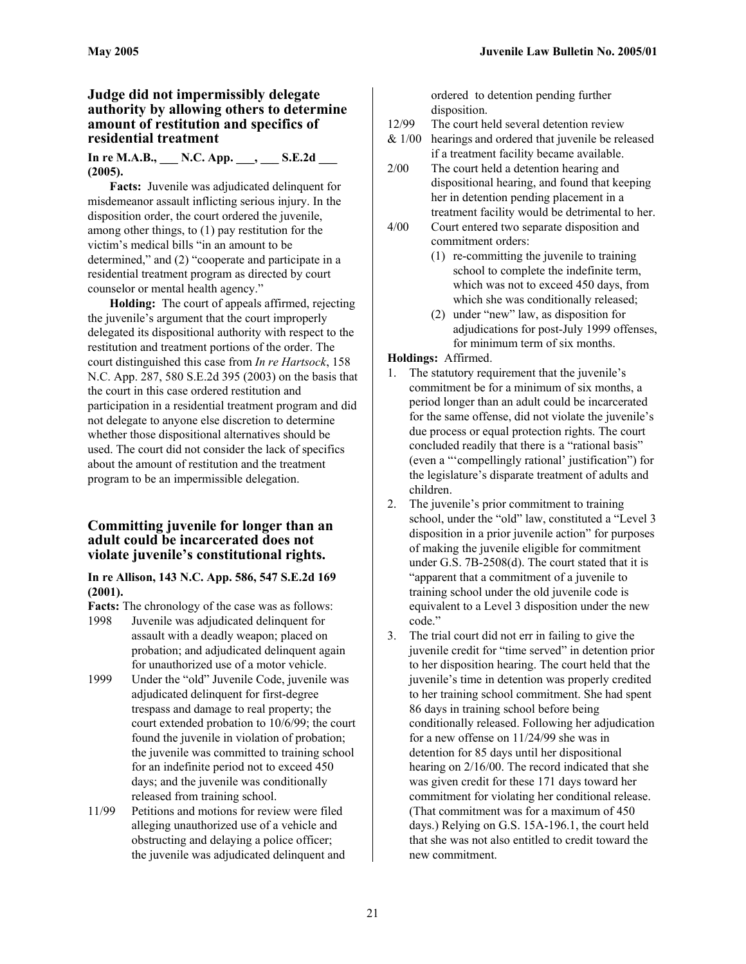# **Judge did not impermissibly delegate authority by allowing others to determine amount of restitution and specifics of residential treatment**

#### **In re M.A.B., \_\_\_ N.C. App. \_\_\_, \_\_\_ S.E.2d \_\_\_ (2005).**

**Facts:** Juvenile was adjudicated delinquent for misdemeanor assault inflicting serious injury. In the disposition order, the court ordered the juvenile, among other things, to (1) pay restitution for the victim's medical bills "in an amount to be determined," and (2) "cooperate and participate in a residential treatment program as directed by court counselor or mental health agency."

**Holding:** The court of appeals affirmed, rejecting the juvenile's argument that the court improperly delegated its dispositional authority with respect to the restitution and treatment portions of the order. The court distinguished this case from *In re Hartsock*, 158 N.C. App. 287, 580 S.E.2d 395 (2003) on the basis that the court in this case ordered restitution and participation in a residential treatment program and did not delegate to anyone else discretion to determine whether those dispositional alternatives should be used. The court did not consider the lack of specifics about the amount of restitution and the treatment program to be an impermissible delegation.

# **Committing juvenile for longer than an adult could be incarcerated does not violate juvenile's constitutional rights.**

**In re Allison, 143 N.C. App. 586, 547 S.E.2d 169 (2001).** 

**Facts:** The chronology of the case was as follows:

- 1998 Juvenile was adjudicated delinquent for assault with a deadly weapon; placed on probation; and adjudicated delinquent again for unauthorized use of a motor vehicle.
- 1999 Under the "old" Juvenile Code, juvenile was adjudicated delinquent for first-degree trespass and damage to real property; the court extended probation to 10/6/99; the court found the juvenile in violation of probation; the juvenile was committed to training school for an indefinite period not to exceed 450 days; and the juvenile was conditionally released from training school.
- 11/99 Petitions and motions for review were filed alleging unauthorized use of a vehicle and obstructing and delaying a police officer; the juvenile was adjudicated delinquent and

ordered to detention pending further disposition.

- 12/99 The court held several detention review
- & 1/00 hearings and ordered that juvenile be released if a treatment facility became available.
- 2/00 The court held a detention hearing and dispositional hearing, and found that keeping her in detention pending placement in a treatment facility would be detrimental to her.
- 4/00 Court entered two separate disposition and commitment orders:
	- (1) re-committing the juvenile to training school to complete the indefinite term, which was not to exceed 450 days, from which she was conditionally released;
	- (2) under "new" law, as disposition for adjudications for post-July 1999 offenses, for minimum term of six months.

# **Holdings:** Affirmed.

- 1. The statutory requirement that the juvenile's commitment be for a minimum of six months, a period longer than an adult could be incarcerated for the same offense, did not violate the juvenile's due process or equal protection rights. The court concluded readily that there is a "rational basis" (even a "'compellingly rational' justification") for the legislature's disparate treatment of adults and children.
- 2. The juvenile's prior commitment to training school, under the "old" law, constituted a "Level 3 disposition in a prior juvenile action" for purposes of making the juvenile eligible for commitment under G.S. 7B-2508(d). The court stated that it is "apparent that a commitment of a juvenile to training school under the old juvenile code is equivalent to a Level 3 disposition under the new code."
- 3. The trial court did not err in failing to give the juvenile credit for "time served" in detention prior to her disposition hearing. The court held that the juvenile's time in detention was properly credited to her training school commitment. She had spent 86 days in training school before being conditionally released. Following her adjudication for a new offense on 11/24/99 she was in detention for 85 days until her dispositional hearing on 2/16/00. The record indicated that she was given credit for these 171 days toward her commitment for violating her conditional release. (That commitment was for a maximum of 450 days.) Relying on G.S. 15A-196.1, the court held that she was not also entitled to credit toward the new commitment.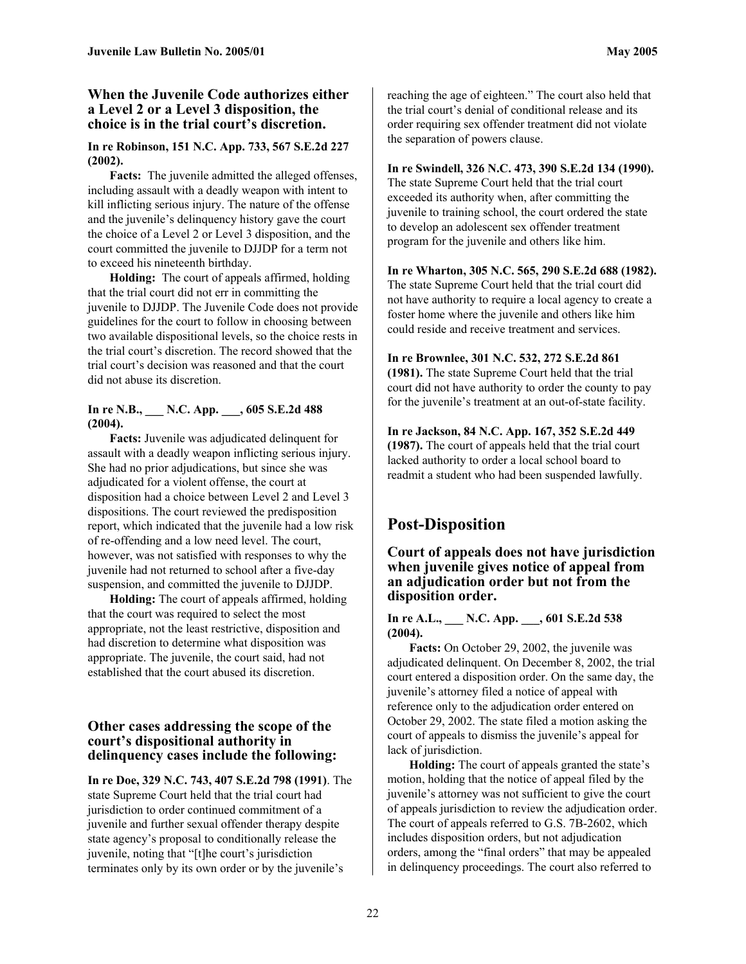# **When the Juvenile Code authorizes either a Level 2 or a Level 3 disposition, the choice is in the trial court's discretion.**

#### **In re Robinson, 151 N.C. App. 733, 567 S.E.2d 227 (2002).**

**Facts:** The juvenile admitted the alleged offenses, including assault with a deadly weapon with intent to kill inflicting serious injury. The nature of the offense and the juvenile's delinquency history gave the court the choice of a Level 2 or Level 3 disposition, and the court committed the juvenile to DJJDP for a term not to exceed his nineteenth birthday.

**Holding:** The court of appeals affirmed, holding that the trial court did not err in committing the juvenile to DJJDP. The Juvenile Code does not provide guidelines for the court to follow in choosing between two available dispositional levels, so the choice rests in the trial court's discretion. The record showed that the trial court's decision was reasoned and that the court did not abuse its discretion.

#### **In re N.B., \_\_\_ N.C. App. \_\_\_, 605 S.E.2d 488 (2004).**

**Facts:** Juvenile was adjudicated delinquent for assault with a deadly weapon inflicting serious injury. She had no prior adjudications, but since she was adjudicated for a violent offense, the court at disposition had a choice between Level 2 and Level 3 dispositions. The court reviewed the predisposition report, which indicated that the juvenile had a low risk of re-offending and a low need level. The court, however, was not satisfied with responses to why the juvenile had not returned to school after a five-day suspension, and committed the juvenile to DJJDP.

**Holding:** The court of appeals affirmed, holding that the court was required to select the most appropriate, not the least restrictive, disposition and had discretion to determine what disposition was appropriate. The juvenile, the court said, had not established that the court abused its discretion.

# **Other cases addressing the scope of the court's dispositional authority in delinquency cases include the following:**

**In re Doe, 329 N.C. 743, 407 S.E.2d 798 (1991)**. The state Supreme Court held that the trial court had jurisdiction to order continued commitment of a juvenile and further sexual offender therapy despite state agency's proposal to conditionally release the juvenile, noting that "[t]he court's jurisdiction terminates only by its own order or by the juvenile's

reaching the age of eighteen." The court also held that the trial court's denial of conditional release and its order requiring sex offender treatment did not violate the separation of powers clause.

# **[In re Swindell, 326](http://web2.westlaw.com/find/default.wl?DB=711&SerialNum=1990060693&FindType=Y&ReferencePositionType=S&ReferencePosition=135&AP=&mt=NorthCarolina&fn=_top&sv=Split&vr=2.0&rs=WLW5.04) N.C. 473, 390 S.E.2d 134 (1990).**

The state Supreme Court held that the trial court exceeded its authority when, after committing the juvenile to training school, the court ordered the state to develop an adolescent sex offender treatment program for the juvenile and others like him.

#### **In re Wharton, 305 N.C. 565, 290 S.E.2d 688 (1982).**

The state Supreme Court held that the trial court did not have authority to require a local agency to create a foster home where the juvenile and others like him could reside and receive treatment and services.

# **In re Brownlee, 301 N.C. 532, 272 S.E.2d 861**

**(1981).** The state Supreme Court held that the trial court did not have authority to order the county to pay for the juvenile's treatment at an out-of-state facility.

**In re Jackson, 84 N.C. App. 167, 352 S.E.2d 449 (1987).** The court of appeals held that the trial court lacked authority to order a local school board to readmit a student who had been suspended lawfully.

# **Post-Disposition**

**Court of appeals does not have jurisdiction when juvenile gives notice of appeal from an adjudication order but not from the disposition order.** 

#### **In re A.L., \_\_\_ N.C. App. \_\_\_, 601 S.E.2d 538 (2004).**

**Facts:** On October 29, 2002, the juvenile was adjudicated delinquent. On December 8, 2002, the trial court entered a disposition order. On the same day, the juvenile's attorney filed a notice of appeal with reference only to the adjudication order entered on October 29, 2002. The state filed a motion asking the court of appeals to dismiss the juvenile's appeal for lack of jurisdiction.

**Holding:** The court of appeals granted the state's motion, holding that the notice of appeal filed by the juvenile's attorney was not sufficient to give the court of appeals jurisdiction to review the adjudication order. The court of appeals referred to G.S. 7B-2602, which includes disposition orders, but not adjudication orders, among the "final orders" that may be appealed in delinquency proceedings. The court also referred to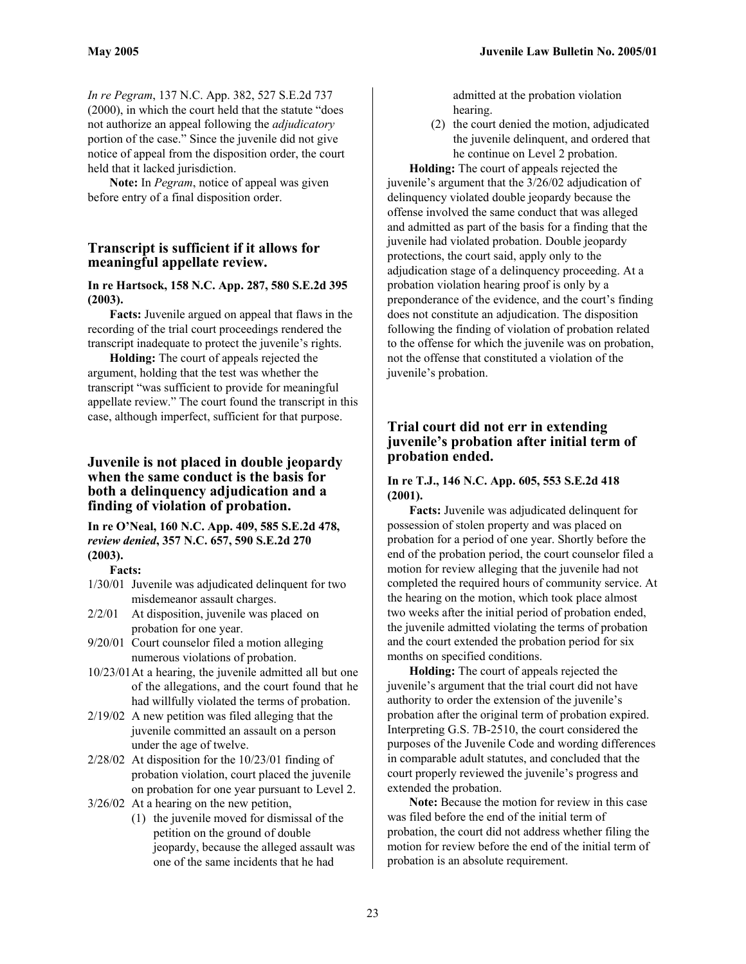*In re Pegram*, 137 N.C. App. 382, 527 S.E.2d 737 (2000), in which the court held that the statute "does not authorize an appeal following the *adjudicatory* portion of the case." Since the juvenile did not give notice of appeal from the disposition order, the court held that it lacked jurisdiction.

**Note:** In *Pegram*, notice of appeal was given before entry of a final disposition order.

# **Transcript is sufficient if it allows for meaningful appellate review.**

#### **In re Hartsock, 158 N.C. App. 287, 580 S.E.2d 395 (2003).**

**Facts:** Juvenile argued on appeal that flaws in the recording of the trial court proceedings rendered the transcript inadequate to protect the juvenile's rights.

**Holding:** The court of appeals rejected the argument, holding that the test was whether the transcript "was sufficient to provide for meaningful appellate review." The court found the transcript in this case, although imperfect, sufficient for that purpose.

# **Juvenile is not placed in double jeopardy when the same conduct is the basis for both a delinquency adjudication and a finding of violation of probation.**

**In re O'Neal, 160 N.C. App. 409, 585 S.E.2d 478,** *review denied***, 357 N.C. 657, 590 S.E.2d 270 (2003).** 

#### **Facts:**

- 1/30/01 Juvenile was adjudicated delinquent for two misdemeanor assault charges.
- 2/2/01 At disposition, juvenile was placed on probation for one year.
- 9/20/01 Court counselor filed a motion alleging numerous violations of probation.
- 10/23/01At a hearing, the juvenile admitted all but one of the allegations, and the court found that he had willfully violated the terms of probation.
- 2/19/02 A new petition was filed alleging that the juvenile committed an assault on a person under the age of twelve.
- 2/28/02 At disposition for the 10/23/01 finding of probation violation, court placed the juvenile on probation for one year pursuant to Level 2.
- 3/26/02 At a hearing on the new petition,
	- (1) the juvenile moved for dismissal of the petition on the ground of double jeopardy, because the alleged assault was one of the same incidents that he had

admitted at the probation violation hearing.

(2) the court denied the motion, adjudicated the juvenile delinquent, and ordered that he continue on Level 2 probation.

**Holding:** The court of appeals rejected the juvenile's argument that the 3/26/02 adjudication of delinquency violated double jeopardy because the offense involved the same conduct that was alleged and admitted as part of the basis for a finding that the juvenile had violated probation. Double jeopardy protections, the court said, apply only to the adjudication stage of a delinquency proceeding. At a probation violation hearing proof is only by a preponderance of the evidence, and the court's finding does not constitute an adjudication. The disposition following the finding of violation of probation related to the offense for which the juvenile was on probation, not the offense that constituted a violation of the juvenile's probation.

# **Trial court did not err in extending juvenile's probation after initial term of probation ended.**

#### **In re T.J., 146 N.C. App. 605, 553 S.E.2d 418 (2001).**

**Facts:** Juvenile was adjudicated delinquent for possession of stolen property and was placed on probation for a period of one year. Shortly before the end of the probation period, the court counselor filed a motion for review alleging that the juvenile had not completed the required hours of community service. At the hearing on the motion, which took place almost two weeks after the initial period of probation ended, the juvenile admitted violating the terms of probation and the court extended the probation period for six months on specified conditions.

**Holding:** The court of appeals rejected the juvenile's argument that the trial court did not have authority to order the extension of the juvenile's probation after the original term of probation expired. Interpreting G.S. 7B-2510, the court considered the purposes of the Juvenile Code and wording differences in comparable adult statutes, and concluded that the court properly reviewed the juvenile's progress and extended the probation.

**Note:** Because the motion for review in this case was filed before the end of the initial term of probation, the court did not address whether filing the motion for review before the end of the initial term of probation is an absolute requirement.